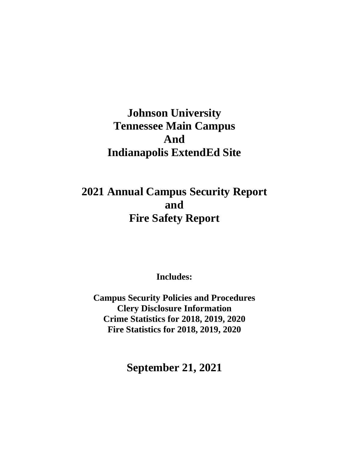# **Johnson University Tennessee Main Campus And Indianapolis ExtendEd Site**

# **2021 Annual Campus Security Report and Fire Safety Report**

**Includes:**

**Campus Security Policies and Procedures Clery Disclosure Information Crime Statistics for 2018, 2019, 2020 Fire Statistics for 2018, 2019, 2020**

**September 21, 2021**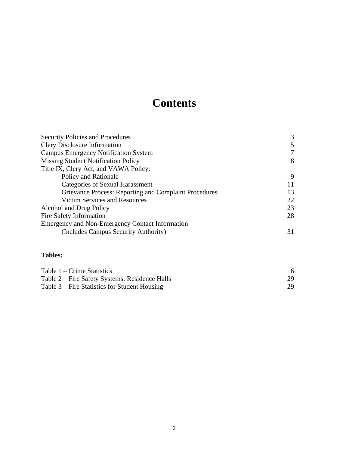# **Contents**

| <b>Security Policies and Procedures</b>               | 3  |
|-------------------------------------------------------|----|
| <b>Clery Disclosure Information</b>                   | 5  |
| <b>Campus Emergency Notification System</b>           | 7  |
| <b>Missing Student Notification Policy</b>            | 8  |
| Title IX, Clery Act, and VAWA Policy:                 |    |
| Policy and Rationale                                  | 9  |
| Categories of Sexual Harassment                       | 11 |
| Grievance Process: Reporting and Complaint Procedures | 13 |
| Victim Services and Resources                         | 22 |
| Alcohol and Drug Policy                               | 23 |
| Fire Safety Information                               | 28 |
| Emergency and Non-Emergency Contact Information       |    |
| (Includes Campus Security Authority)                  | 31 |
|                                                       |    |

### **Tables:**

| Table $1 -$ Crime Statistics                    |    |
|-------------------------------------------------|----|
| Table 2 – Fire Safety Systems: Residence Halls  | 29 |
| Table $3$ – Fire Statistics for Student Housing | 29 |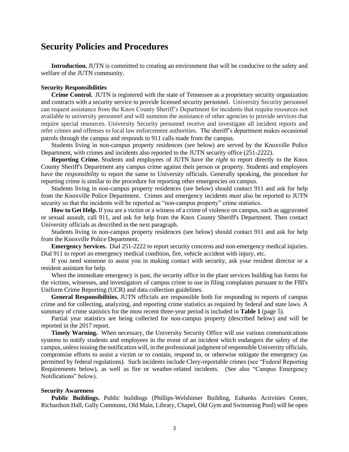### **Security Policies and Procedures**

**Introduction.** JUTN is committed to creating an environment that will be conducive to the safety and welfare of the JUTN community.

#### **Security Responsibilities**

**Crime Control.** JUTN is registered with the state of Tennessee as a proprietary security organization and contracts with a security service to provide licensed security personnel. University Security personnel can request assistance from the Knox County Sheriff's Department for incidents that require resources not available to university personnel and will summon the assistance of other agencies to provide services that require special resources. University Security personnel receive and investigate all incident reports and refer crimes and offenses to local law enforcement authorities. The sheriff's department makes occasional patrols through the campus and responds to 911 calls made from the campus.

Students living in non-campus property residences (see below) are served by the Knoxville Police Department, with crimes and incidents also reported to the JUTN security office (251-2222).

**Reporting Crime.** Students and employees of JUTN have the *right* to report directly to the Knox County Sheriff's Department any campus crime against their person or property. Students and employees have the *responsibility* to report the same to University officials. Generally speaking, the procedure for reporting crime is similar to the procedure for reporting other emergencies on campus.

Students living in non-campus property residences (see below) should contact 911 and ask for help from the Knoxville Police Department. Crimes and emergency incidents *must* also be reported to JUTN security so that the incidents will be reported as "non-campus property" crime statistics.

**How to Get Help.** If you are a victim or a witness of a crime of violence on campus, such as aggravated or sexual assault, call 911, and ask for help from the Knox County Sheriff's Department. Then contact University officials as described in the next paragraph.

Students living in non-campus property residences (see below) should contact 911 and ask for help from the Knoxville Police Department.

**Emergency Services.** Dial 251-2222 to report security concerns and non-emergency medical injuries. Dial 911 to report an emergency medical condition, fire, vehicle accident with injury, etc.

If you need someone to assist you in making contact with security, ask your resident director or a resident assistant for help.

When the immediate emergency is past, the security office in the plant services building has forms for the victims, witnesses, and investigators of campus crime to use in filing complaints pursuant to the FBI's Uniform Crime Reporting (UCR) and data collection guidelines.

**General Responsibilities.** JUTN officials are responsible both for responding to reports of campus crime and for collecting, analyzing, and reporting crime statistics as required by federal and state laws. A summary of crime statistics for the most recent three-year period is included in **Table 1** (page 5).

Partial year statistics are being collected for non-campus property (described below) and will be reported in the 2017 report.

**Timely Warning.** When necessary, the University Security Office will use various communications systems to notify students and employees in the event of an incident which endangers the safety of the campus, unless issuing the notification will, in the professional judgment of responsible University officials, compromise efforts to assist a victim or to contain, respond to, or otherwise mitigate the emergency (as permitted by federal regulations). Such incidents include Clery-reportable crimes (see "Federal Reporting Requirements below), as well as fire or weather-related incidents. (See also "Campus Emergency Notifications" below).

#### **Security Awareness**

**Public Buildings.** Public buildings (Phillips-Welshimer Building, Eubanks Activities Center, Richardson Hall, Gally Commons, Old Main, Library, Chapel, Old Gym and Swimming Pool) will be open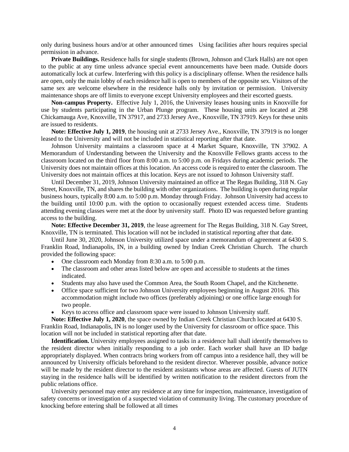only during business hours and/or at other announced times Using facilities after hours requires special permission in advance.

**Private Buildings.** Residence halls for single students (Brown, Johnson and Clark Halls) are not open to the public at any time unless advance special event announcements have been made. Outside doors automatically lock at curfew. Interfering with this policy is a disciplinary offense. When the residence halls are open, only the main lobby of each residence hall is open to members of the opposite sex. Visitors of the same sex are welcome elsewhere in the residence halls only by invitation or permission. University maintenance shops are off limits to everyone except University employees and their escorted guests.

**Non-campus Property.** Effective July 1, 2016, the University leases housing units in Knoxville for use by students participating in the Urban Plunge program. These housing units are located at 298 Chickamauga Ave, Knoxville, TN 37917, and 2733 Jersey Ave., Knoxville, TN 37919. Keys for these units are issued to residents.

**Note: Effective July 1, 2019**, the housing unit at 2733 Jersey Ave., Knoxville, TN 37919 is no longer leased to the University and will not be included in statistical reporting after that date.

Johnson University maintains a classroom space at 4 Market Square, Knoxville, TN 37902. A Memorandum of Understanding between the University and the Knoxville Fellows grants access to the classroom located on the third floor from 8:00 a.m. to 5:00 p.m. on Fridays during academic periods. The University does not maintain offices at this location. An access code is required to enter the classroom. The University does not maintain offices at this location. Keys are not issued to Johnson University staff.

Until December 31, 2019, Johnson University maintained an office at The Regas Building, 318 N. Gay Street, Knoxville, TN, and shares the building with other organizations. The building is open during regular business hours, typically 8:00 a.m. to 5:00 p.m. Monday through Friday. Johnson University had access to the building until 10:00 p.m. with the option to occasionally request extended access time. Students attending evening classes were met at the door by university staff. Photo ID was requested before granting access to the building.

**Note: Effective December 31, 2019**, the lease agreement for The Regas Building, 318 N. Gay Street, Knoxville, TN is terminated. This location will not be included in statistical reporting after that date.

Until June 30, 2020, Johnson University utilized space under a memorandum of agreement at 6430 S. Franklin Road, Indianapolis, IN, in a building owned by Indian Creek Christian Church. The church provided the following space:

• One classroom each Monday from 8:30 a.m. to 5:00 p.m.

- The classroom and other areas listed below are open and accessible to students at the times indicated.
- Students may also have used the Common Area, the South Room Chapel, and the Kitchenette.
- Office space sufficient for two Johnson University employees beginning in August 2016. This accommodation might include two offices (preferably adjoining) or one office large enough for two people.
- Keys to access office and classroom space were issued to Johnson University staff.

**Note: Effective July 1, 2020**, the space owned by Indian Creek Christian Church located at 6430 S. Franklin Road, Indianapolis, IN is no longer used by the University for classroom or office space. This location will not be included in statistical reporting after that date.

**Identification.** University employees assigned to tasks in a residence hall shall identify themselves to the resident director when initially responding to a job order. Each worker shall have an ID badge appropriately displayed. When contracts bring workers from off campus into a residence hall, they will be announced by University officials beforehand to the resident director. Wherever possible, advance notice will be made by the resident director to the resident assistants whose areas are affected. Guests of JUTN staying in the residence halls will be identified by written notification to the resident directors from the public relations office.

University personnel may enter any residence at any time for inspection, maintenance, investigation of safety concerns or investigation of a suspected violation of community living. The customary procedure of knocking before entering shall be followed at all times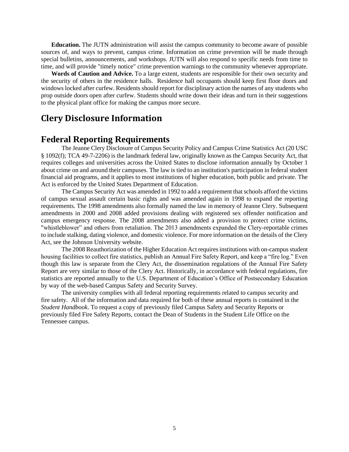**Education.** The JUTN administration will assist the campus community to become aware of possible sources of, and ways to prevent, campus crime. Information on crime prevention will be made through special bulletins, announcements, and workshops. JUTN will also respond to specific needs from time to time, and will provide "timely notice" crime prevention warnings to the community whenever appropriate.

**Words of Caution and Advice.** To a large extent, students are responsible for their own security and the security of others in the residence halls. Residence hall occupants should keep first floor doors and windows locked after curfew. Residents should report for disciplinary action the names of any students who prop outside doors open after curfew. Students should write down their ideas and turn in their suggestions to the physical plant office for making the campus more secure.

## **Clery Disclosure Information**

## **Federal Reporting Requirements**

The Jeanne Clery Disclosure of Campus Security Policy and Campus Crime Statistics Act (20 USC § 1092(f); TCA 49-7-2206) is the landmark federal law, originally known as the Campus Security Act, that requires colleges and universities across the United States to disclose information annually by October 1 about crime on and around their campuses. The law is tied to an institution's participation in federal student financial aid programs, and it applies to most institutions of higher education, both public and private. The Act is enforced by the United States Department of Education.

The Campus Security Act was amended in 1992 to add a requirement that schools afford the victims of campus sexual assault certain basic rights and was amended again in 1998 to expand the reporting requirements. The 1998 amendments also formally named the law in memory of Jeanne Clery. Subsequent amendments in 2000 and 2008 added provisions dealing with registered sex offender notification and campus emergency response. The 2008 amendments also added a provision to protect crime victims, "whistleblower" and others from retaliation. The 2013 amendments expanded the Clery-reportable crimes to include stalking, dating violence, and domestic violence. For more information on the details of the Clery Act, see the Johnson University website.

The 2008 Reauthorization of the Higher Education Act requires institutions with on-campus student housing facilities to collect fire statistics, publish an Annual Fire Safety Report, and keep a "fire log." Even though this law is separate from the Clery Act, the dissemination regulations of the Annual Fire Safety Report are very similar to those of the Clery Act. Historically, in accordance with federal regulations, fire statistics are reported annually to the U.S. Department of Education's Office of Postsecondary Education by way of the web-based Campus Safety and Security Survey.

The university complies with all federal reporting requirements related to campus security and fire safety. All of the information and data required for both of these annual reports is contained in the *Student Handbook*. To request a copy of previously filed Campus Safety and Security Reports or previously filed Fire Safety Reports, contact the Dean of Students in the Student Life Office on the Tennessee campus.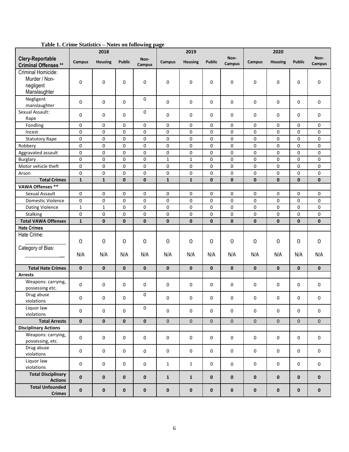|                                                                  | 2018                |                         |                     | 2019                    |                     |                |               | 2020                  |                     |                |               |                       |
|------------------------------------------------------------------|---------------------|-------------------------|---------------------|-------------------------|---------------------|----------------|---------------|-----------------------|---------------------|----------------|---------------|-----------------------|
| <b>Clery-Reportable</b><br><b>Criminal Offenses**</b>            | Campus              | <b>Housing</b>          | <b>Public</b>       | Non-<br>Campus          | Campus              | <b>Housing</b> | <b>Public</b> | Non-<br><b>Campus</b> | Campus              | <b>Housing</b> | <b>Public</b> | Non-<br><b>Campus</b> |
| Criminal Homicide:<br>Murder / Non-<br>negligent<br>Manslaughter | 0                   | 0                       | 0                   | 0                       | 0                   | 0              | 0             | 0                     | 0                   | 0              | 0             | 0                     |
| Negligent<br>manslaughter                                        | 0                   | 0                       | 0                   | 0                       | 0                   | 0              | 0             | 0                     | 0                   | 0              | 0             | 0                     |
| Sexual Assault:<br>Rape                                          | 0                   | 0                       | 0                   | 0                       | 0                   | 0              | 0             | 0                     | 0                   | 0              | 0             | 0                     |
| Fondling                                                         | 0                   | 0                       | $\Omega$            | 0                       | 0                   | 0              | 0             | 0                     | 0                   | 0              | 0             | 0                     |
| Incest                                                           | 0                   | 0                       | 0                   | 0                       | 0                   | $\mathbf 0$    | 0             | 0                     | 0                   | 0              | 0             | 0                     |
| <b>Statutory Rape</b>                                            | 0                   | 0                       | 0                   | 0                       | 0                   | $\mathbf 0$    | 0             | 0                     | 0                   | 0              | $\mathbf 0$   | 0                     |
| Robbery                                                          | 0                   | 0                       | 0                   | 0                       | 0                   | $\mathbf 0$    | 0             | $\mathbf 0$           | 0                   | 0              | 0             | 0                     |
| Aggravated assault                                               | 0                   | 0                       | 0                   | 0                       | 0                   | $\mathbf 0$    | 0             | $\mathbf 0$           | 0                   | 0              | 0             | 0                     |
| <b>Burglary</b>                                                  | 0                   | 0                       | 0                   | 0                       | $\mathbf{1}$        | $\mathbf 1$    | 0             | $\mathbf 0$           | 0                   | 0              | 0             | 0                     |
| Motor vehicle theft                                              | 0                   | 0                       | 0                   | 0                       | 0                   | 0              | 0             | 0                     | 0                   | 0              | 0             | 0                     |
| Arson                                                            | 0                   | 0                       | 0                   | 0                       | 0                   | 0              | 0             | 0                     | 0                   | 0              | 0             | 0                     |
| <b>Total Crimes</b>                                              | $\mathbf{1}$        | $\mathbf{1}$            | $\mathbf{0}$        | $\mathbf{0}$            | $\mathbf{1}$        | $\mathbf{1}$   | $\mathbf 0$   | $\mathbf{0}$          | $\mathbf{0}$        | 0              | $\mathbf{0}$  | $\mathbf{0}$          |
| VAWA Offenses **                                                 |                     |                         |                     |                         |                     |                |               |                       |                     |                |               |                       |
| Sexual Assault                                                   | 0                   | 0                       | 0                   | 0                       | 0                   | 0              | 0             | 0                     | 0                   | 0              | 0             | 0                     |
| Domestic Violence                                                | 0                   | 0                       | 0                   | 0                       | 0                   | $\mathbf 0$    | 0             | $\mathbf 0$           | 0                   | 0              | 0             | 0                     |
| <b>Dating Violence</b>                                           | $\mathbf 1$         | $\mathbf{1}$            | 0                   | 0                       | 0                   | $\mathbf 0$    | 0             | $\mathbf 0$           | 0                   | 0              | 0             | 0                     |
| Stalking                                                         | 0                   | 0                       | 0                   | 0                       | 0                   | $\mathbf 0$    | 0             | 0                     | 0                   | 0              | 0             | 0                     |
| <b>Total VAWA Offenses</b>                                       | $\mathbf{1}$        | $\mathbf{0}$            | $\mathbf{0}$        | $\mathbf{0}$            | 0                   | $\mathbf{0}$   | $\mathbf{0}$  | $\mathbf{0}$          | $\mathbf{0}$        | $\mathbf{0}$   | $\mathbf{0}$  | $\mathbf{0}$          |
| <b>Hate Crimes</b>                                               |                     |                         |                     |                         |                     |                |               |                       |                     |                |               |                       |
| Hate Crime:<br>Category of Bias:                                 | 0                   | 0                       | 0                   | 0                       | 0                   | $\Omega$       | 0             | $\Omega$              | 0                   | 0              | 0             | 0                     |
|                                                                  | N/A                 | N/A                     | N/A                 | N/A                     | N/A                 | N/A            | N/A           | N/A                   | N/A                 | N/A            | N/A           | N/A                   |
| <b>Total Hate Crimes</b>                                         | $\mathbf{0}$        | $\mathbf{0}$            | $\mathbf{0}$        | $\mathbf 0$             | 0                   | $\mathbf{0}$   | $\mathbf{0}$  | $\mathbf{0}$          | $\mathbf 0$         | $\mathbf{0}$   | $\mathbf{0}$  | $\mathbf{0}$          |
| <b>Arrests</b>                                                   |                     |                         |                     |                         |                     |                |               |                       |                     |                |               |                       |
| Weapons: carrying,<br>possessing etc.                            | 0                   | 0                       | 0                   | 0                       | 0                   | 0              | 0             | 0                     | 0                   | 0              | 0             | 0                     |
| Drug abuse<br>violations                                         | 0                   | 0                       | 0                   | 0                       | 0                   | 0              | 0             | 0                     | 0                   | 0              | 0             | 0                     |
| Liquor law<br>violations                                         | $\mathsf{O}\xspace$ | $\mathsf{O}\xspace$     | $\mathbf 0$         | 0                       | $\mathsf{O}\xspace$ | $\mathsf 0$    | 0             | $\mathsf{O}$          | $\mathsf{O}\xspace$ | 0              | $\mathsf{O}$  | $\mathsf{O}$          |
| <b>Total Arrests</b>                                             | $\mathbf 0$         | $\overline{\mathbf{0}}$ | $\pmb{0}$           | $\overline{\mathbf{0}}$ | $\pmb{0}$           | $\pmb{0}$      | $\pmb{0}$     | $\pmb{0}$             | $\pmb{0}$           | $\pmb{0}$      | $\mathbf 0$   | $\mathbf 0$           |
| <b>Disciplinary Actions</b>                                      |                     |                         |                     |                         |                     |                |               |                       |                     |                |               |                       |
| Weapons: carrying,<br>possessing, etc.                           | 0                   | $\mathsf 0$             | $\mathsf{O}\xspace$ | $\pmb{0}$               | $\pmb{0}$           | $\mathsf 0$    | 0             | $\mathsf{O}$          | $\mathsf{O}\xspace$ | $\pmb{0}$      | $\mathsf{O}$  | $\mathsf{O}\xspace$   |
| Drug abuse<br>violations                                         | 0                   | 0                       | $\mathsf 0$         | 0                       | $\mathsf{O}\xspace$ | $\mathsf 0$    | 0             | $\mathsf{O}$          | $\mathsf{O}\xspace$ | 0              | $\mathsf{O}$  | $\mathsf{O}\xspace$   |
| Liquor law<br>violations                                         | $\mathsf{O}\xspace$ | $\mathsf 0$             | $\mathsf 0$         | $\pmb{0}$               | $\mathbf{1}$        | $\mathbf 1$    | 0             | $\mathsf 0$           | $\mathsf{O}\xspace$ | 0              | $\mathsf{O}$  | 0                     |
| <b>Total Disciplinary</b><br><b>Actions</b>                      | $\pmb{0}$           | $\pmb{0}$               | $\pmb{0}$           | $\pmb{0}$               | $\mathbf{1}$        | $\mathbf 1$    | $\pmb{0}$     | $\pmb{0}$             | $\mathbf 0$         | $\pmb{0}$      | $\mathbf 0$   | $\pmb{0}$             |
| <b>Total Unfounded</b><br><b>Crimes</b>                          | $\pmb{0}$           | $\pmb{0}$               | $\mathbf 0$         | $\pmb{0}$               | 0                   | $\pmb{0}$      | 0             | $\pmb{0}$             | $\pmb{0}$           | 0              | $\mathbf 0$   | $\pmb{0}$             |

#### **Table 1. Crime Statistics – Notes on following page**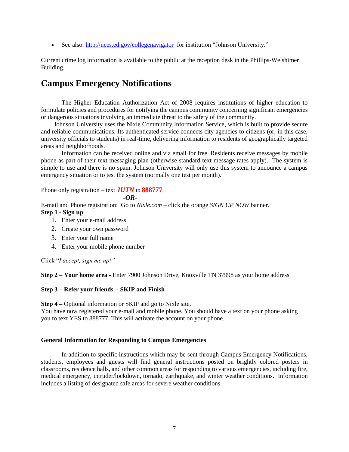• See also:<http://nces.ed.gov/collegenavigator>for institution "Johnson University."

Current crime log information is available to the public at the reception desk in the Phillips-Welshimer Building.

## **Campus Emergency Notifications**

The Higher Education Authorization Act of 2008 requires institutions of higher education to formulate policies and procedures for notifying the campus community concerning significant emergencies or dangerous situations involving an immediate threat to the safety of the community.

Johnson University uses the Nixle Community Information Service, which is built to provide secure and reliable communications. Its authenticated service connects city agencies to citizens (or, in this case, university officials to students) in real-time, delivering information to residents of geographically targeted areas and neighborhoods.

Information can be received online and via email for free. Residents receive messages by mobile phone as part of their text messaging plan (otherwise standard text message rates apply). The system is simple to use and there is no spam. Johnson University will only use this system to announce a campus emergency situation or to test the system (normally one test per month).

Phone only registration – text *JUTN* to **888777**

$$
-OR-
$$

E-mail and Phone registration: Go to *Nixle.com –* click the orange *SIGN UP NOW* banner.

#### **Step 1 - Sign up**

- 1. Enter your e-mail address
- 2. Create your own password
- 3. Enter your full name
- 4. Enter your mobile phone number

Click "*I accept, sign me up!"*

**Step 2 – Your home area -** Enter 7900 Johnson Drive, Knoxville TN 37998 as your home address

#### **Step 3 – Refer your friends - SKIP and Finish**

**Step 4 –** Optional information or SKIP and go to Nixle site.

You have now registered your e-mail and mobile phone. You should have a text on your phone asking you to text YES to 888777. This will activate the account on your phone.

#### **General Information for Responding to Campus Emergencies**

In addition to specific instructions which may be sent through Campus Emergency Notifications, students, employees and guests will find general instructions posted on brightly colored posters in classrooms, residence halls, and other common areas for responding to various emergencies, including fire, medical emergency, intruder/lockdown, tornado, earthquake, and winter weather conditions. Information includes a listing of designated safe areas for severe weather conditions.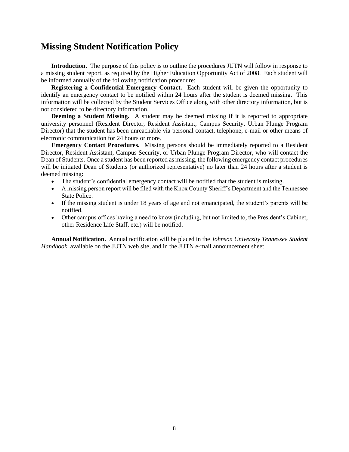# **Missing Student Notification Policy**

**Introduction.** The purpose of this policy is to outline the procedures JUTN will follow in response to a missing student report, as required by the Higher Education Opportunity Act of 2008. Each student will be informed annually of the following notification procedure:

**Registering a Confidential Emergency Contact.** Each student will be given the opportunity to identify an emergency contact to be notified within 24 hours after the student is deemed missing. This information will be collected by the Student Services Office along with other directory information, but is not considered to be directory information.

**Deeming a Student Missing.** A student may be deemed missing if it is reported to appropriate university personnel (Resident Director, Resident Assistant, Campus Security, Urban Plunge Program Director) that the student has been unreachable via personal contact, telephone, e-mail or other means of electronic communication for 24 hours or more.

**Emergency Contact Procedures.** Missing persons should be immediately reported to a Resident Director, Resident Assistant, Campus Security, or Urban Plunge Program Director, who will contact the Dean of Students. Once a student has been reported as missing, the following emergency contact procedures will be initiated Dean of Students (or authorized representative) no later than 24 hours after a student is deemed missing:

- The student's confidential emergency contact will be notified that the student is missing.
- A missing person report will be filed with the Knox County Sheriff's Department and the Tennessee State Police.
- If the missing student is under 18 years of age and not emancipated, the student's parents will be notified.
- Other campus offices having a need to know (including, but not limited to, the President's Cabinet, other Residence Life Staff, etc.) will be notified.

**Annual Notification.** Annual notification will be placed in the *Johnson University Tennessee Student Handbook*, available on the JUTN web site, and in the JUTN e-mail announcement sheet.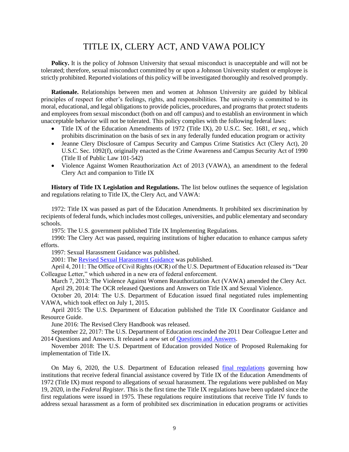# TITLE IX, CLERY ACT, AND VAWA POLICY

**Policy.** It is the policy of Johnson University that sexual misconduct is unacceptable and will not be tolerated; therefore, sexual misconduct committed by or upon a Johnson University student or employee is strictly prohibited. Reported violations of this policy will be investigated thoroughly and resolved promptly.

**Rationale.** Relationships between men and women at Johnson University are guided by biblical principles of respect for other's feelings, rights, and responsibilities. The university is committed to its moral, educational, and legal obligations to provide policies, procedures, and programs that protect students and employees from sexual misconduct (both on and off campus) and to establish an environment in which unacceptable behavior will not be tolerated. This policy complies with the following federal laws:

- Title IX of the Education Amendments of 1972 (Title IX), 20 U.S.C. Sec. 1681, *et seq.*, which prohibits discrimination on the basis of sex in any federally funded education program or activity
- Jeanne Clery Disclosure of Campus Security and Campus Crime Statistics Act (Clery Act), 20 U.S.C. Sec. 1092(f), originally enacted as the Crime Awareness and Campus Security Act of 1990 (Title II of Public Law 101-542)
- Violence Against Women Reauthorization Act of 2013 (VAWA), an amendment to the federal Clery Act and companion to Title IX

**History of Title IX Legislation and Regulations.** The list below outlines the sequence of legislation and regulations relating to Title IX, the Clery Act, and VAWA:

1972: Title IX was passed as part of the Education Amendments. It prohibited sex discrimination by recipients of federal funds, which includes most colleges, universities, and public elementary and secondary schools.

1975: The U.S. government published Title IX Implementing Regulations.

1990: The Clery Act was passed, requiring institutions of higher education to enhance campus safety efforts.

1997: Sexual Harassment Guidance was published.

2001: Th[e Revised Sexual Harassment Guidance](https://www2.ed.gov/about/offices/list/ocr/docs/sexhar00.html) was published.

April 4, 2011: The Office of Civil Rights (OCR) of the U.S. Department of Education released its "Dear Colleague Letter," which ushered in a new era of federal enforcement.

March 7, 2013: The Violence Against Women Reauthorization Act (VAWA) amended the Clery Act. April 29, 2014: The OCR released Questions and Answers on Title IX and Sexual Violence.

October 20, 2014: The U.S. Department of Education issued final negotiated rules implementing VAWA, which took effect on July 1, 2015.

April 2015: The U.S. Department of Education published the Title IX Coordinator Guidance and Resource Guide.

June 2016: The Revised Clery Handbook was released.

September 22, 2017: The U.S. Department of Education rescinded the 2011 Dear Colleague Letter and 2014 Questions and Answers. It released a new set of [Questions and Answers.](https://www2.ed.gov/about/offices/list/ocr/docs/qa-title-ix-201709.pdf)

November 2018: The U.S. Department of Education provided Notice of Proposed Rulemaking for implementation of Title IX.

On May 6, 2020, the U.S. Department of Education released [final regulations](https://www.federalregister.gov/documents/2020/05/19/2020-10512/nondiscrimination-on-the-basis-of-sex-in-education-programs-or-activities-receiving-federal) governing how institutions that receive federal financial assistance covered by Title IX of the Education Amendments of 1972 (Title IX) must respond to allegations of sexual harassment. The regulations were published on May 19, 2020, in the *Federal Register.* This is the first time the Title IX regulations have been updated since the first regulations were issued in 1975. These regulations require institutions that receive Title IV funds to address sexual harassment as a form of prohibited sex discrimination in education programs or activities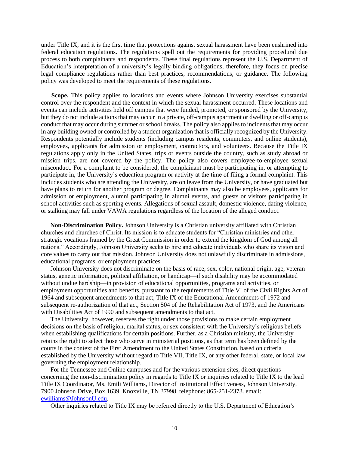under Title IX, and it is the first time that protections against sexual harassment have been enshrined into federal education regulations. The regulations spell out the requirements for providing procedural due process to both complainants and respondents. These final regulations represent the U.S. Department of Education's interpretation of a university's legally binding obligations; therefore, they focus on precise legal compliance regulations rather than best practices, recommendations, or guidance. The following policy was developed to meet the requirements of these regulations.

**Scope.** This policy applies to locations and events where Johnson University exercises substantial control over the respondent and the context in which the sexual harassment occurred. These locations and events can include activities held off campus that were funded, promoted, or sponsored by the University, but they do not include actions that may occur in a private, off-campus apartment or dwelling or off-campus conduct that may occur during summer or school breaks. The policy also applies to incidents that may occur in any building owned or controlled by a student organization that is officially recognized by the University. Respondents potentially include students (including campus residents, commuters, and online students), employees, applicants for admission or employment, contractors, and volunteers. Because the Title IX regulations apply only in the United States, trips or events outside the country, such as study abroad or mission trips, are not covered by the policy. The policy also covers employee-to-employee sexual misconduct. For a complaint to be considered, the complainant must be participating in, or attempting to participate in, the University's education program or activity at the time of filing a formal complaint. This includes students who are attending the University, are on leave from the University, or have graduated but have plans to return for another program or degree. Complainants may also be employees, applicants for admission or employment, alumni participating in alumni events, and guests or visitors participating in school activities such as sporting events. Allegations of sexual assault, domestic violence, dating violence, or stalking may fall under VAWA regulations regardless of the location of the alleged conduct.

 **Non-Discrimination Policy.** Johnson University is a Christian university affiliated with Christian churches and churches of Christ. Its mission is to educate students for "Christian ministries and other strategic vocations framed by the Great Commission in order to extend the kingdom of God among all nations." Accordingly, Johnson University seeks to hire and educate individuals who share its vision and core values to carry out that mission. Johnson University does not unlawfully discriminate in admissions, educational programs, or employment practices.

 Johnson University does not discriminate on the basis of race, sex, color, national origin, age, veteran status, genetic information, political affiliation, or handicap—if such disability may be accommodated without undue hardship—in provision of educational opportunities, programs and activities, or employment opportunities and benefits, pursuant to the requirements of Title VI of the Civil Rights Act of 1964 and subsequent amendments to that act, Title IX of the Educational Amendments of 1972 and subsequent re-authorization of that act, Section 504 of the Rehabilitation Act of 1973, and the Americans with Disabilities Act of 1990 and subsequent amendments to that act.

 The University, however, reserves the right under those provisions to make certain employment decisions on the basis of religion, marital status, or sex consistent with the University's religious beliefs when establishing qualifications for certain positions. Further, as a Christian ministry, the University retains the right to select those who serve in ministerial positions, as that term has been defined by the courts in the context of the First Amendment to the United States Constitution, based on criteria established by the University without regard to Title VII, Title IX, or any other federal, state, or local law governing the employment relationship.

 For the Tennessee and Online campuses and for the various extension sites, direct questions concerning the non-discrimination policy in regards to Title IX or inquiries related to Title IX to the lead Title IX Coordinator, Ms. Emili Williams, Director of Institutional Effectiveness, Johnson University, 7900 Johnson Drive, Box 1639, Knoxville, TN 37998. telephone: 865-251-2373. email: [ewilliams@JohnsonU.edu.](mailto:ewilliams@JohnsonU.edu)

Other inquiries related to Title IX may be referred directly to the U.S. Department of Education's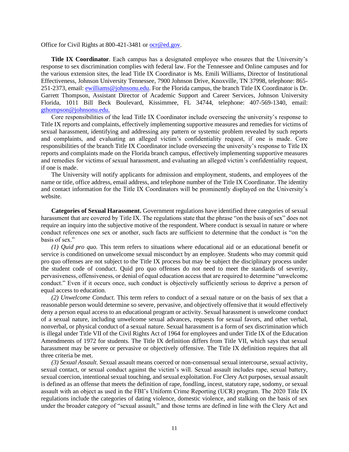Office for Civil Rights at 800-421-3481 or [ocr@ed.gov.](mailto:ocr@ed.gov)

**Title IX Coordinator**. Each campus has a designated employee who ensures that the University's response to sex discrimination complies with federal law. For the Tennessee and Online campuses and for the various extension sites, the lead Title IX Coordinator is Ms. Emili Williams, Director of Institutional Effectiveness, Johnson University Tennessee, 7900 Johnson Drive, Knoxville, TN 37998, telephone: 865- 251-2373, email[: ewilliams@johnsonu.edu.](mailto:ewilliams@johnsonu.edu) For the Florida campus, the branch Title IX Coordinator is Dr. Garrett Thompson, Assistant Director of Academic Support and Career Services, Johnson University Florida, 1011 Bill Beck Boulevard, Kissimmee, FL 34744, telephone: 407-569-1340, email: [gthompson@johnsonu.edu.](mailto:gthompson@johnsonu.edu)

Core responsibilities of the lead Title IX Coordinator include overseeing the university's response to Title IX reports and complaints, effectively implementing supportive measures and remedies for victims of sexual harassment, identifying and addressing any pattern or systemic problem revealed by such reports and complaints, and evaluating an alleged victim's confidentiality request, if one is made. Core responsibilities of the branch Title IX Coordinator include overseeing the university's response to Title IX reports and complaints made on the Florida branch campus, effectively implementing supportive measures and remedies for victims of sexual harassment, and evaluating an alleged victim's confidentiality request, if one is made.

The University will notify applicants for admission and employment, students, and employees of the name or title, office address, email address, and telephone number of the Title IX Coordinator. The identity and contact information for the Title IX Coordinators will be prominently displayed on the University's website.

**Categories of Sexual Harassment.** Government regulations have identified three categories of sexual harassment that are covered by Title IX. The regulations state that the phrase "on the basis of sex" does not require an inquiry into the subjective motive of the respondent. Where conduct is sexual in nature or where conduct references one sex or another, such facts are sufficient to determine that the conduct is "on the basis of sex."

*(1) Quid pro quo.* This term refers to situations where educational aid or an educational benefit or service is conditioned on unwelcome sexual misconduct by an employee. Students who may commit quid pro quo offenses are not subject to the Title IX process but may be subject the disciplinary process under the student code of conduct. Quid pro quo offenses do not need to meet the standards of severity, pervasiveness, offensiveness, or denial of equal education access that are required to determine "unwelcome conduct." Even if it occurs once, such conduct is objectively sufficiently serious to deprive a person of equal access to education.

*(2) Unwelcome Conduct.* This term refers to conduct of a sexual nature or on the basis of sex that a reasonable person would determine so severe, pervasive, and objectively offensive that it would effectively deny a person equal access to an educational program or activity. Sexual harassment is unwelcome conduct of a sexual nature, including unwelcome sexual advances, requests for sexual favors, and other verbal, nonverbal, or physical conduct of a sexual nature. Sexual harassment is a form of sex discrimination which is illegal under Title VII of the Civil Rights Act of 1964 for employees and under Title IX of the Education Amendments of 1972 for students. The Title IX definition differs from Title VII, which says that sexual harassment may be severe or pervasive or objectively offensive. The Title IX definition requires that all three criteria be met.

*(3) Sexual Assault.* Sexual assault means coerced or non-consensual sexual intercourse, sexual activity, sexual contact, or sexual conduct against the victim's will. Sexual assault includes rape, sexual battery, sexual coercion, intentional sexual touching, and sexual exploitation. For Clery Act purposes, sexual assault is defined as an offense that meets the definition of rape, fondling, incest, statutory rape, sodomy, or sexual assault with an object as used in the FBI's Uniform Crime Reporting (UCR) program. The 2020 Title IX regulations include the categories of dating violence, domestic violence, and stalking on the basis of sex under the broader category of "sexual assault," and those terms are defined in line with the Clery Act and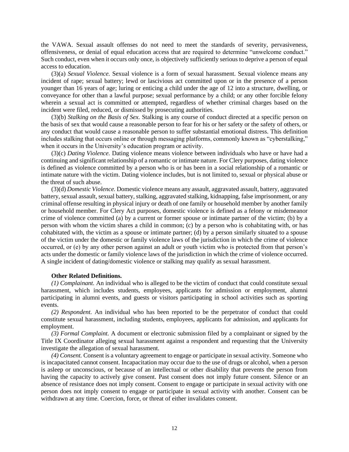the VAWA. Sexual assault offenses do not need to meet the standards of severity, pervasiveness, offensiveness, or denial of equal education access that are required to determine "unwelcome conduct." Such conduct, even when it occurs only once, is objectively sufficiently serious to deprive a person of equal access to education.

(3)(a) *Sexual Violence.* Sexual violence is a form of sexual harassment. Sexual violence means any incident of rape; sexual battery; lewd or lascivious act committed upon or in the presence of a person younger than 16 years of age; luring or enticing a child under the age of 12 into a structure, dwelling, or conveyance for other than a lawful purpose; sexual performance by a child; or any other forcible felony wherein a sexual act is committed or attempted, regardless of whether criminal charges based on the incident were filed, reduced, or dismissed by prosecuting authorities.

(3)(b) *Stalking on the Basis of Sex.* Stalking is any course of conduct directed at a specific person on the basis of sex that would cause a reasonable person to fear for his or her safety or the safety of others, or any conduct that would cause a reasonable person to suffer substantial emotional distress. This definition includes stalking that occurs online or through messaging platforms, commonly known as "cyberstalking," when it occurs in the University's education program or activity.

(3)(c) *Dating Violence.* Dating violence means violence between individuals who have or have had a continuing and significant relationship of a romantic or intimate nature. For Clery purposes, dating violence is defined as violence committed by a person who is or has been in a social relationship of a romantic or intimate nature with the victim. Dating violence includes, but is not limited to, sexual or physical abuse or the threat of such abuse.

(3)(d) *Domestic Violence.* Domestic violence means any assault, aggravated assault, battery, aggravated battery, sexual assault, sexual battery, stalking, aggravated stalking, kidnapping, false imprisonment, or any criminal offense resulting in physical injury or death of one family or household member by another family or household member. For Clery Act purposes, domestic violence is defined as a felony or misdemeanor crime of violence committed (a) by a current or former spouse or intimate partner of the victim; (b) by a person with whom the victim shares a child in common; (c) by a person who is cohabitating with, or has cohabitated with, the victim as a spouse or intimate partner; (d) by a person similarly situated to a spouse of the victim under the domestic or family violence laws of the jurisdiction in which the crime of violence occurred, or (e) by any other person against an adult or youth victim who is protected from that person's acts under the domestic or family violence laws of the jurisdiction in which the crime of violence occurred. A single incident of dating/domestic violence or stalking may qualify as sexual harassment.

#### **Other Related Definitions.**

*(1) Complainant.* An individual who is alleged to be the victim of conduct that could constitute sexual harassment, which includes students, employees, applicants for admission or employment, alumni participating in alumni events, and guests or visitors participating in school activities such as sporting events.

*(2) Respondent.* An individual who has been reported to be the perpetrator of conduct that could constitute sexual harassment, including students, employees, applicants for admission, and applicants for employment.

*(3) Formal Complaint.* A document or electronic submission filed by a complainant or signed by the Title IX Coordinator alleging sexual harassment against a respondent and requesting that the University investigate the allegation of sexual harassment.

*(4) Consent.* Consent is a voluntary agreement to engage or participate in sexual activity. Someone who is incapacitated cannot consent. Incapacitation may occur due to the use of drugs or alcohol, when a person is asleep or unconscious, or because of an intellectual or other disability that prevents the person from having the capacity to actively give consent. Past consent does not imply future consent. Silence or an absence of resistance does not imply consent. Consent to engage or participate in sexual activity with one person does not imply consent to engage or participate in sexual activity with another. Consent can be withdrawn at any time. Coercion, force, or threat of either invalidates consent.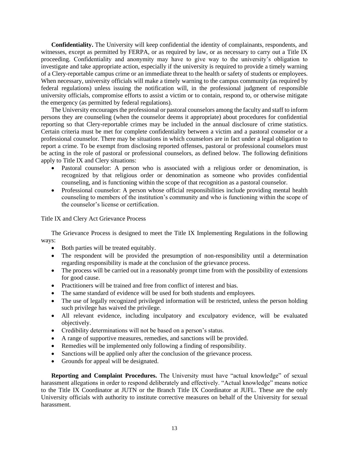**Confidentiality.** The University will keep confidential the identity of complainants, respondents, and witnesses, except as permitted by FERPA, or as required by law, or as necessary to carry out a Title IX proceeding. Confidentiality and anonymity may have to give way to the university's obligation to investigate and take appropriate action, especially if the university is required to provide a timely warning of a Clery-reportable campus crime or an immediate threat to the health or safety of students or employees. When necessary, university officials will make a timely warning to the campus community (as required by federal regulations) unless issuing the notification will, in the professional judgment of responsible university officials, compromise efforts to assist a victim or to contain, respond to, or otherwise mitigate the emergency (as permitted by federal regulations).

The University encourages the professional or pastoral counselors among the faculty and staff to inform persons they are counseling (when the counselor deems it appropriate) about procedures for confidential reporting so that Clery-reportable crimes may be included in the annual disclosure of crime statistics. Certain criteria must be met for complete confidentiality between a victim and a pastoral counselor or a professional counselor. There may be situations in which counselors are in fact under a legal obligation to report a crime. To be exempt from disclosing reported offenses, pastoral or professional counselors must be acting in the role of pastoral or professional counselors, as defined below. The following definitions apply to Title IX and Clery situations:

- Pastoral counselor: A person who is associated with a religious order or denomination, is recognized by that religious order or denomination as someone who provides confidential counseling, and is functioning within the scope of that recognition as a pastoral counselor.
- Professional counselor: A person whose official responsibilities include providing mental health counseling to members of the institution's community and who is functioning within the scope of the counselor's license or certification.

Title IX and Clery Act Grievance Process

The Grievance Process is designed to meet the Title IX Implementing Regulations in the following ways:

- Both parties will be treated equitably.
- The respondent will be provided the presumption of non-responsibility until a determination regarding responsibility is made at the conclusion of the grievance process.
- The process will be carried out in a reasonably prompt time from with the possibility of extensions for good cause.
- Practitioners will be trained and free from conflict of interest and bias.
- The same standard of evidence will be used for both students and employees.
- The use of legally recognized privileged information will be restricted, unless the person holding such privilege has waived the privilege.
- All relevant evidence, including inculpatory and exculpatory evidence, will be evaluated objectively.
- Credibility determinations will not be based on a person's status.
- A range of supportive measures, remedies, and sanctions will be provided.
- Remedies will be implemented only following a finding of responsibility.
- Sanctions will be applied only after the conclusion of the grievance process.
- Grounds for appeal will be designated.

**Reporting and Complaint Procedures.** The University must have "actual knowledge" of sexual harassment allegations in order to respond deliberately and effectively. "Actual knowledge" means notice to the Title IX Coordinator at JUTN or the Branch Title IX Coordinator at JUFL. These are the only University officials with authority to institute corrective measures on behalf of the University for sexual harassment.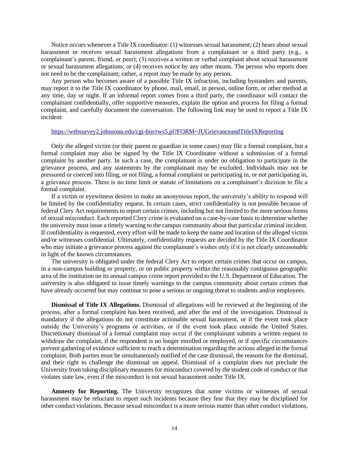Notice occurs whenever a Title IX coordinator: (1) witnesses sexual harassment; (2) hears about sexual harassment or receives sexual harassment allegations from a complainant or a third party (e.g., a complainant's parent, friend, or peer); (3) receives a written or verbal complaint about sexual harassment or sexual harassment allegations; or (4) receives notice by any other means. The person who reports does not need to be the complainant; rather, a report may be made by any person.

Any person who becomes aware of a possible Title IX infraction, including bystanders and parents, may report it to the Title IX coordinator by phone, mail, email, in person, online form, or other method at any time, day or night. If an informal report comes from a third party, the coordinator will contact the complainant confidentially, offer supportive measures, explain the option and process for filing a formal complaint, and carefully document the conversation. The following link may be used to report a Title IX incident:

#### <https://websurvey2.johnsonu.edu/cgi-bin/rws5.pl?FORM=JUGrievanceandTitleIXReporting>

Only the alleged victim (or their parent or guardian in some cases) may file a formal complaint, but a formal complaint may also be signed by the Title IX Coordinator without a submission of a formal complaint by another party. In such a case, the complainant is under no obligation to participate in the grievance process, and any statements by the complainant may be excluded. Individuals may not be pressured or coerced into filing, or not filing, a formal complaint or participating in, or not participating in, a grievance process. There is no time limit or statute of limitations on a complainant's decision to file a formal complaint.

If a victim or eyewitness desires to make an anonymous report, the university's ability to respond will be limited by the confidentiality request. In certain cases, strict confidentiality is not possible because of federal Clery Act requirements to report certain crimes, including but not limited to the more serious forms of sexual misconduct. Each reported Clery crime is evaluated on a case-by-case basis to determine whether the university must issue a timely warning to the campus community about that particular criminal incident. If confidentiality is requested, every effort will be made to keep the name and location of the alleged victim and/or witnesses confidential. Ultimately, confidentiality requests are decided by the Title IX Coordinator who may initiate a grievance process against the complainant's wishes only if it is not clearly unreasonable in light of the known circumstances.

The university is obligated under the federal Clery Act to report certain crimes that occur on campus, in a non-campus building or property, or on public property within the reasonably contiguous geographic area of the institution on its annual campus crime report provided to the U.S. Department of Education. The university is also obligated to issue timely warnings to the campus community about certain crimes that have already occurred but may continue to pose a serious or ongoing threat to students and/or employees.

**Dismissal of Title IX Allegations.** Dismissal of allegations will be reviewed at the beginning of the process, after a formal complaint has been received, and after the end of the investigation. Dismissal is mandatory if the allegations do not constitute actionable sexual harassment, or if the event took place outside the University's programs or activities, or if the event took place outside the United States. Discretionary dismissal of a formal complaint may occur if the complainant submits a written request to withdraw the complaint, if the respondent is no longer enrolled or employed, or if specific circumstances prevent gathering of evidence sufficient to reach a determination regarding the actions alleged in the formal complaint. Both parties must be simultaneously notified of the case dismissal, the reasons for the dismissal, and their right to challenge the dismissal on appeal. Dismissal of a complaint does not preclude the University from taking disciplinary measures for misconduct covered by the student code of conduct or that violates state law, even if the misconduct is not sexual harassment under Title IX.

**Amnesty for Reporting.** The University recognizes that some victims or witnesses of sexual harassment may be reluctant to report such incidents because they fear that they may be disciplined for other conduct violations. Because sexual misconduct is a more serious matter than other conduct violations,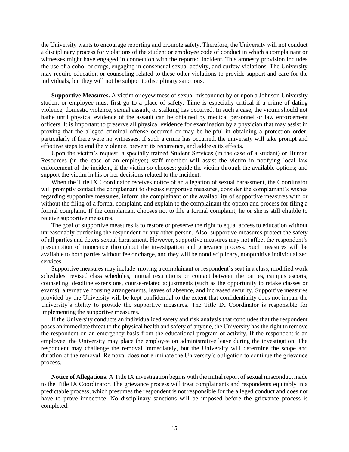the University wants to encourage reporting and promote safety. Therefore, the University will not conduct a disciplinary process for violations of the student or employee code of conduct in which a complainant or witnesses might have engaged in connection with the reported incident. This amnesty provision includes the use of alcohol or drugs, engaging in consensual sexual activity, and curfew violations. The University may require education or counseling related to these other violations to provide support and care for the individuals, but they will not be subject to disciplinary sanctions.

**Supportive Measures.** A victim or eyewitness of sexual misconduct by or upon a Johnson University student or employee must first go to a place of safety. Time is especially critical if a crime of dating violence, domestic violence, sexual assault, or stalking has occurred. In such a case, the victim should not bathe until physical evidence of the assault can be obtained by medical personnel or law enforcement officers. It is important to preserve all physical evidence for examination by a physician that may assist in proving that the alleged criminal offense occurred or may be helpful in obtaining a protection order, particularly if there were no witnesses. If such a crime has occurred, the university will take prompt and effective steps to end the violence, prevent its recurrence, and address its effects.

Upon the victim's request, a specially trained Student Services (in the case of a student) or Human Resources (in the case of an employee) staff member will assist the victim in notifying local law enforcement of the incident, if the victim so chooses; guide the victim through the available options; and support the victim in his or her decisions related to the incident.

When the Title IX Coordinator receives notice of an allegation of sexual harassment, the Coordinator will promptly contact the complainant to discuss supportive measures, consider the complainant's wishes regarding supportive measures, inform the complainant of the availability of supportive measures with or without the filing of a formal complaint, and explain to the complainant the option and process for filing a formal complaint. If the complainant chooses not to file a formal complaint, he or she is still eligible to receive supportive measures.

The goal of supportive measures is to restore or preserve the right to equal access to education without unreasonably burdening the respondent or any other person. Also, supportive measures protect the safety of all parties and deters sexual harassment. However, supportive measures may not affect the respondent's presumption of innocence throughout the investigation and grievance process. Such measures will be available to both parties without fee or charge, and they will be nondisciplinary, nonpunitive individualized services.

Supportive measures may include moving a complainant or respondent's seat in a class, modified work schedules, revised class schedules, mutual restrictions on contact between the parties, campus escorts, counseling, deadline extensions, course-related adjustments (such as the opportunity to retake classes or exams), alternative housing arrangements, leaves of absence, and increased security. Supportive measures provided by the University will be kept confidential to the extent that confidentiality does not impair the University's ability to provide the supportive measures. The Title IX Coordinator is responsible for implementing the supportive measures.

If the University conducts an individualized safety and risk analysis that concludes that the respondent poses an immediate threat to the physical health and safety of anyone, the University has the right to remove the respondent on an emergency basis from the educational program or activity. If the respondent is an employee, the University may place the employee on administrative leave during the investigation. The respondent may challenge the removal immediately, but the University will determine the scope and duration of the removal. Removal does not eliminate the University's obligation to continue the grievance process.

**Notice of Allegations.** A Title IX investigation begins with the initial report of sexual misconduct made to the Title IX Coordinator. The grievance process will treat complainants and respondents equitably in a predictable process, which presumes the respondent is not responsible for the alleged conduct and does not have to prove innocence. No disciplinary sanctions will be imposed before the grievance process is completed.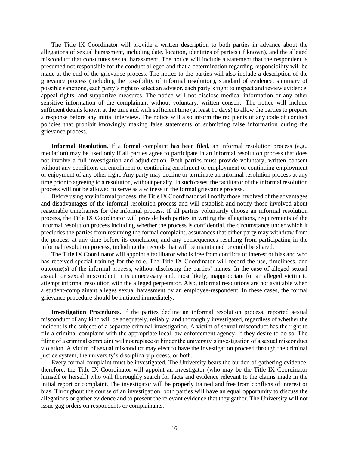The Title IX Coordinator will provide a written description to both parties in advance about the allegations of sexual harassment, including date, location, identities of parties (if known), and the alleged misconduct that constitutes sexual harassment. The notice will include a statement that the respondent is presumed not responsible for the conduct alleged and that a determination regarding responsibility will be made at the end of the grievance process. The notice to the parties will also include a description of the grievance process (including the possibility of informal resolution), standard of evidence, summary of possible sanctions, each party's right to select an advisor, each party's right to inspect and review evidence, appeal rights, and supportive measures. The notice will not disclose medical information or any other sensitive information of the complainant without voluntary, written consent. The notice will include sufficient details known at the time and with sufficient time (at least 10 days) to allow the parties to prepare a response before any initial interview. The notice will also inform the recipients of any code of conduct policies that prohibit knowingly making false statements or submitting false information during the grievance process.

**Informal Resolution.** If a formal complaint has been filed, an informal resolution process (e.g., mediation) may be used only if all parties agree to participate in an informal resolution process that does not involve a full investigation and adjudication. Both parties must provide voluntary, written consent without any conditions on enrollment or continuing enrollment or employment or continuing employment or enjoyment of any other right. Any party may decline or terminate an informal resolution process at any time prior to agreeing to a resolution, without penalty. In such cases, the facilitator of the informal resolution process will not be allowed to serve as a witness in the formal grievance process.

Before using any informal process, the Title IX Coordinator will notify those involved of the advantages and disadvantages of the informal resolution process and will establish and notify those involved about reasonable timeframes for the informal process. If all parties voluntarily choose an informal resolution process, the Title IX Coordinator will provide both parties in writing the allegations, requirements of the informal resolution process including whether the process is confidential, the circumstance under which it precludes the parties from resuming the formal complaint, assurances that either party may withdraw from the process at any time before its conclusion, and any consequences resulting from participating in the informal resolution process, including the records that will be maintained or could be shared.

The Title IX Coordinator will appoint a facilitator who is free from conflicts of interest or bias and who has received special training for the role. The Title IX Coordinator will record the use, timeliness, and outcome(s) of the informal process, without disclosing the parties' names. In the case of alleged sexual assault or sexual misconduct, it is unnecessary and, most likely, inappropriate for an alleged victim to attempt informal resolution with the alleged perpetrator. Also, informal resolutions are not available when a student-complainant alleges sexual harassment by an employee-respondent. In these cases, the formal grievance procedure should be initiated immediately.

**Investigation Procedures.** If the parties decline an informal resolution process, reported sexual misconduct of any kind will be adequately, reliably, and thoroughly investigated, regardless of whether the incident is the subject of a separate criminal investigation. A victim of sexual misconduct has the right to file a criminal complaint with the appropriate local law enforcement agency, if they desire to do so. The filing of a criminal complaint will not replace or hinder the university's investigation of a sexual misconduct violation. A victim of sexual misconduct may elect to have the investigation proceed through the criminal justice system, the university's disciplinary process, or both.

Every formal complaint must be investigated. The University bears the burden of gathering evidence; therefore, the Title IX Coordinator will appoint an investigator (who may be the Title IX Coordinator himself or herself) who will thoroughly search for facts and evidence relevant to the claims made in the initial report or complaint. The investigator will be properly trained and free from conflicts of interest or bias. Throughout the course of an investigation, both parties will have an equal opportunity to discuss the allegations or gather evidence and to present the relevant evidence that they gather. The University will not issue gag orders on respondents or complainants.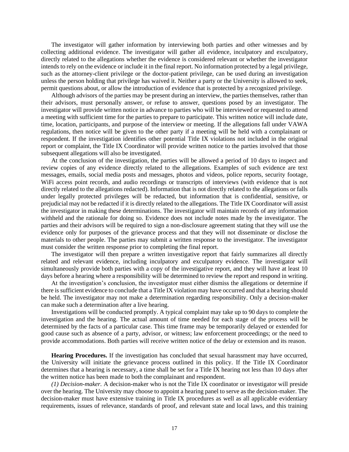The investigator will gather information by interviewing both parties and other witnesses and by collecting additional evidence. The investigator will gather all evidence, inculpatory and exculpatory, directly related to the allegations whether the evidence is considered relevant or whether the investigator intends to rely on the evidence or include it in the final report. No information protected by a legal privilege, such as the attorney-client privilege or the doctor-patient privilege, can be used during an investigation unless the person holding that privilege has waived it. Neither a party or the University is allowed to seek, permit questions about, or allow the introduction of evidence that is protected by a recognized privilege.

Although advisors of the parties may be present during an interview, the parties themselves, rather than their advisors, must personally answer, or refuse to answer, questions posed by an investigator. The investigator will provide written notice in advance to parties who will be interviewed or requested to attend a meeting with sufficient time for the parties to prepare to participate. This written notice will include date, time, location, participants, and purpose of the interview or meeting. If the allegations fall under VAWA regulations, then notice will be given to the other party if a meeting will be held with a complainant or respondent. If the investigation identifies other potential Title IX violations not included in the original report or complaint, the Title IX Coordinator will provide written notice to the parties involved that those subsequent allegations will also be investigated.

At the conclusion of the investigation, the parties will be allowed a period of 10 days to inspect and review copies of any evidence directly related to the allegations. Examples of such evidence are text messages, emails, social media posts and messages, photos and videos, police reports, security footage, WiFi access point records, and audio recordings or transcripts of interviews (with evidence that is not directly related to the allegations redacted). Information that is not directly related to the allegations or falls under legally protected privileges will be redacted, but information that is confidential, sensitive, or prejudicial may not be redacted if it is directly related to the allegations. The Title IX Coordinator will assist the investigator in making these determinations. The investigator will maintain records of any information withheld and the rationale for doing so. Evidence does not include notes made by the investigator. The parties and their advisors will be required to sign a non-disclosure agreement stating that they will use the evidence only for purposes of the grievance process and that they will not disseminate or disclose the materials to other people. The parties may submit a written response to the investigator. The investigator must consider the written response prior to completing the final report.

The investigator will then prepare a written investigative report that fairly summarizes all directly related and relevant evidence, including inculpatory and exculpatory evidence. The investigator will simultaneously provide both parties with a copy of the investigative report, and they will have at least 10 days before a hearing where a responsibility will be determined to review the report and respond in writing.

At the investigation's conclusion, the investigator must either dismiss the allegations or determine if there is sufficient evidence to conclude that a Title IX violation may have occurred and that a hearing should be held. The investigator may not make a determination regarding responsibility. Only a decision-maker can make such a determination after a live hearing.

Investigations will be conducted promptly. A typical complaint may take up to 90 days to complete the investigation and the hearing. The actual amount of time needed for each stage of the process will be determined by the facts of a particular case. This time frame may be temporarily delayed or extended for good cause such as absence of a party, advisor, or witness; law enforcement proceedings; or the need to provide accommodations. Both parties will receive written notice of the delay or extension and its reason.

**Hearing Procedures.** If the investigation has concluded that sexual harassment may have occurred, the University will initiate the grievance process outlined in this policy. If the Title IX Coordinator determines that a hearing is necessary, a time shall be set for a Title IX hearing not less than 10 days after the written notice has been made to both the complainant and respondent.

*(1) Decision-maker.* A decision-maker who is not the Title IX coordinator or investigator will preside over the hearing. The University may choose to appoint a hearing panel to serve as the decision-maker. The decision-maker must have extensive training in Title IX procedures as well as all applicable evidentiary requirements, issues of relevance, standards of proof, and relevant state and local laws, and this training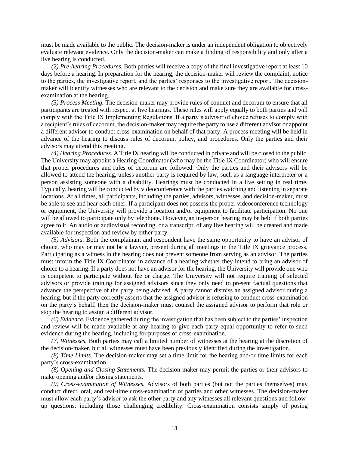must be made available to the public. The decision-maker is under an independent obligation to objectively evaluate relevant evidence. Only the decision-maker can make a finding of responsibility and only after a live hearing is conducted.

*(2) Pre-hearing Procedures.* Both parties will receive a copy of the final investigative report at least 10 days before a hearing. In preparation for the hearing, the decision-maker will review the complaint, notice to the parties, the investigative report, and the parties' responses to the investigative report. The decisionmaker will identify witnesses who are relevant to the decision and make sure they are available for crossexamination at the hearing.

*(3) Process Meeting.* The decision-maker may provide rules of conduct and decorum to ensure that all participants are treated with respect at live hearings. These rules will apply equally to both parties and will comply with the Title IX Implementing Regulations. If a party's advisor of choice refuses to comply with a recipient's rules of decorum, the decision-maker may require the party to use a different advisor or appoint a different advisor to conduct cross-examination on behalf of that party. A process meeting will be held in advance of the hearing to discuss rules of decorum, policy, and procedures. Only the parties and their advisors may attend this meeting.

*(4) Hearing Procedures.* A Title IX hearing will be conducted in private and will be closed to the public. The University may appoint a Hearing Coordinator (who may be the Title IX Coordinator) who will ensure that proper procedures and rules of decorum are followed. Only the parties and their advisors will be allowed to attend the hearing, unless another party is required by law, such as a language interpreter or a person assisting someone with a disability. Hearings must be conducted in a live setting in real time. Typically, hearing will be conducted by videoconference with the parties watching and listening in separate locations. At all times, all participants, including the parties, advisors, witnesses, and decision-maker, must be able to see and hear each other. If a participant does not possess the proper videoconference technology or equipment, the University will provide a location and/or equipment to facilitate participation. No one will be allowed to participate only by telephone. However, an in-person hearing may be held if both parties agree to it. An audio or audiovisual recording, or a transcript, of any live hearing will be created and made available for inspection and review by either party.

*(5) Advisors.* Both the complainant and respondent have the same opportunity to have an advisor of choice, who may or may not be a lawyer, present during all meetings in the Title IX grievance process. Participating as a witness in the hearing does not prevent someone from serving as an advisor. The parties must inform the Title IX Coordinator in advance of a hearing whether they intend to bring an advisor of choice to a hearing. If a party does not have an advisor for the hearing, the University will provide one who is competent to participate without fee or charge. The University will not require training of selected advisors or provide training for assigned advisors since they only need to present factual questions that advance the perspective of the party being advised. A party cannot dismiss an assigned advisor during a hearing, but if the party correctly asserts that the assigned advisor is refusing to conduct cross-examination on the party's behalf, then the decision-maker must counsel the assigned advisor to perform that role or stop the hearing to assign a different advisor.

*(6) Evidence.* Evidence gathered during the investigation that has been subject to the parties' inspection and review will be made available at any hearing to give each party equal opportunity to refer to such evidence during the hearing, including for purposes of cross-examination.

*(7) Witnesses.* Both parties may call a limited number of witnesses at the hearing at the discretion of the decision-maker, but all witnesses must have been previously identified during the investigation.

*(8) Time Limits.* The decision-maker may set a time limit for the hearing and/or time limits for each party's cross-examination.

*(8) Opening and Closing Statements.* The decision-maker may permit the parties or their advisors to make opening and/or closing statements.

*(9) Cross-examination of Witnesses.* Advisors of both parties (but not the parties themselves) may conduct direct, oral, and real-time cross-examination of parties and other witnesses. The decision-maker must allow each party's advisor to ask the other party and any witnesses all relevant questions and followup questions, including those challenging credibility. Cross-examination consists simply of posing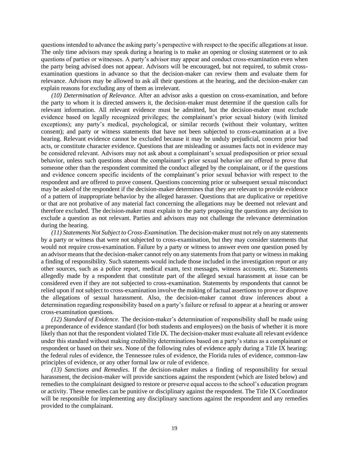questions intended to advance the asking party's perspective with respect to the specific allegations at issue. The only time advisors may speak during a hearing is to make an opening or closing statement or to ask questions of parties or witnesses. A party's advisor may appear and conduct cross-examination even when the party being advised does not appear. Advisors will be encouraged, but not required, to submit crossexamination questions in advance so that the decision-maker can review them and evaluate them for relevance. Advisors may be allowed to ask all their questions at the hearing, and the decision-maker can explain reasons for excluding any of them as irrelevant.

*(10) Determination of Relevance.* After an advisor asks a question on cross-examination, and before the party to whom it is directed answers it, the decision-maker must determine if the question calls for relevant information. All relevant evidence must be admitted, but the decision-maker must exclude evidence based on legally recognized privileges; the complainant's prior sexual history (with limited exceptions); any party's medical, psychological, or similar records (without their voluntary, written consent); and party or witness statements that have not been subjected to cross-examination at a live hearing. Relevant evidence cannot be excluded because it may be unduly prejudicial, concern prior bad acts, or constitute character evidence. Questions that are misleading or assumes facts not in evidence may be considered relevant. Advisors may not ask about a complainant's sexual predisposition or prior sexual behavior, unless such questions about the complainant's prior sexual behavior are offered to prove that someone other than the respondent committed the conduct alleged by the complainant, or if the questions and evidence concern specific incidents of the complainant's prior sexual behavior with respect to the respondent and are offered to prove consent. Questions concerning prior or subsequent sexual misconduct may be asked of the respondent if the decision-maker determines that they are relevant to provide evidence of a pattern of inappropriate behavior by the alleged harasser. Questions that are duplicative or repetitive or that are not probative of any material fact concerning the allegations may be deemed not relevant and therefore excluded. The decision-maker must explain to the party proposing the questions any decision to exclude a question as not relevant. Parties and advisors may not challenge the relevance determination during the hearing.

*(11) Statements Not Subject to Cross-Examination.* The decision-maker must not rely on any statements by a party or witness that were not subjected to cross-examination, but they may consider statements that would not require cross-examination. Failure by a party or witness to answer even one question posed by an advisor means that the decision-maker cannot rely on any statements from that party or witness in making a finding of responsibility. Such statements would include those included in the investigation report or any other sources, such as a police report, medical exam, text messages, witness accounts, etc. Statements allegedly made by a respondent that constitute part of the alleged sexual harassment at issue can be considered even if they are not subjected to cross-examination. Statements by respondents that cannot be relied upon if not subject to cross-examination involve the making of factual assertions to prove or disprove the allegations of sexual harassment. Also, the decision-maker cannot draw inferences about a determination regarding responsibility based on a party's failure or refusal to appear at a hearing or answer cross-examination questions.

*(12) Standard of Evidence.* The decision-maker's determination of responsibility shall be made using a preponderance of evidence standard (for both students and employees) on the basis of whether it is more likely than not that the respondent violated Title IX. The decision-maker must evaluate all relevant evidence under this standard without making credibility determinations based on a party's status as a complainant or respondent or based on their sex. None of the following rules of evidence apply during a Title IX hearing: the federal rules of evidence, the Tennessee rules of evidence, the Florida rules of evidence, common-law principles of evidence, or any other formal law or rule of evidence.

*(13) Sanctions and Remedies.* If the decision-maker makes a finding of responsibility for sexual harassment, the decision-maker will provide sanctions against the respondent (which are listed below) and remedies to the complainant designed to restore or preserve equal access to the school's education program or activity. These remedies can be punitive or disciplinary against the respondent. The Title IX Coordinator will be responsible for implementing any disciplinary sanctions against the respondent and any remedies provided to the complainant.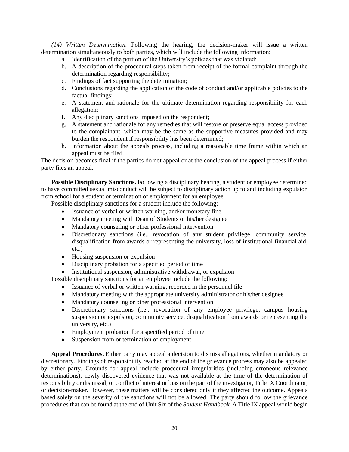*(14) Written Determination.* Following the hearing, the decision-maker will issue a written determination simultaneously to both parties, which will include the following information:

- a. Identification of the portion of the University's policies that was violated;
- b. A description of the procedural steps taken from receipt of the formal complaint through the determination regarding responsibility;
- c. Findings of fact supporting the determination;
- d. Conclusions regarding the application of the code of conduct and/or applicable policies to the factual findings;
- e. A statement and rationale for the ultimate determination regarding responsibility for each allegation;
- f. Any disciplinary sanctions imposed on the respondent;
- g. A statement and rationale for any remedies that will restore or preserve equal access provided to the complainant, which may be the same as the supportive measures provided and may burden the respondent if responsibility has been determined;
- h. Information about the appeals process, including a reasonable time frame within which an appeal must be filed.

The decision becomes final if the parties do not appeal or at the conclusion of the appeal process if either party files an appeal.

**Possible Disciplinary Sanctions.** Following a disciplinary hearing, a student or employee determined to have committed sexual misconduct will be subject to disciplinary action up to and including expulsion from school for a student or termination of employment for an employee.

Possible disciplinary sanctions for a student include the following:

- Issuance of verbal or written warning, and/or monetary fine
- Mandatory meeting with Dean of Students or his/her designee
- Mandatory counseling or other professional intervention
- Discretionary sanctions (i.e., revocation of any student privilege, community service, disqualification from awards or representing the university, loss of institutional financial aid, etc.)
- Housing suspension or expulsion
- Disciplinary probation for a specified period of time
- Institutional suspension, administrative withdrawal, or expulsion

Possible disciplinary sanctions for an employee include the following:

- Issuance of verbal or written warning, recorded in the personnel file
- Mandatory meeting with the appropriate university administrator or his/her designee
- Mandatory counseling or other professional intervention
- Discretionary sanctions (i.e., revocation of any employee privilege, campus housing suspension or expulsion, community service, disqualification from awards or representing the university, etc.)
- Employment probation for a specified period of time
- Suspension from or termination of employment

**Appeal Procedures.** Either party may appeal a decision to dismiss allegations, whether mandatory or discretionary. Findings of responsibility reached at the end of the grievance process may also be appealed by either party. Grounds for appeal include procedural irregularities (including erroneous relevance determinations), newly discovered evidence that was not available at the time of the determination of responsibility or dismissal, or conflict of interest or bias on the part of the investigator, Title IX Coordinator, or decision-maker. However, these matters will be considered only if they affected the outcome. Appeals based solely on the severity of the sanctions will not be allowed. The party should follow the grievance procedures that can be found at the end of Unit Six of the *Student Handbook.* A Title IX appeal would begin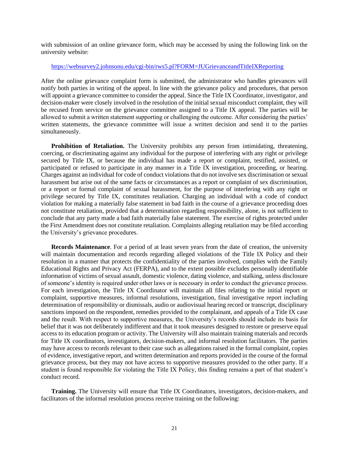with submission of an online grievance form, which may be accessed by using the following link on the university website:

#### <https://websurvey2.johnsonu.edu/cgi-bin/rws5.pl?FORM=JUGrievanceandTitleIXReporting>

After the online grievance complaint form is submitted, the administrator who handles grievances will notify both parties in writing of the appeal. In line with the grievance policy and procedures, that person will appoint a grievance committee to consider the appeal. Since the Title IX Coordinator, investigator, and decision-maker were closely involved in the resolution of the initial sexual misconduct complaint, they will be recused from service on the grievance committee assigned to a Title IX appeal. The parties will be allowed to submit a written statement supporting or challenging the outcome. After considering the parties' written statements, the grievance committee will issue a written decision and send it to the parties simultaneously.

**Prohibition of Retaliation.** The University prohibits any person from intimidating, threatening, coercing, or discriminating against any individual for the purpose of interfering with any right or privilege secured by Title IX, or because the individual has made a report or complaint, testified, assisted, or participated or refused to participate in any manner in a Title IX investigation, proceeding, or hearing. Charges against an individual for code of conduct violations that do not involve sex discrimination or sexual harassment but arise out of the same facts or circumstances as a report or complaint of sex discrimination, or a report or formal complaint of sexual harassment, for the purpose of interfering with any right or privilege secured by Title IX, constitutes retaliation. Charging an individual with a code of conduct violation for making a materially false statement in bad faith in the course of a grievance proceeding does not constitute retaliation, provided that a determination regarding responsibility, alone, is not sufficient to conclude that any party made a bad faith materially false statement. The exercise of rights protected under the First Amendment does not constitute retaliation. Complaints alleging retaliation may be filed according the University's grievance procedures.

**Records Maintenance**. For a period of at least seven years from the date of creation, the university will maintain documentation and records regarding alleged violations of the Title IX Policy and their resolution in a manner that protects the confidentiality of the parties involved, complies with the Family Educational Rights and Privacy Act (FERPA), and to the extent possible excludes personally identifiable information of victims of sexual assault, domestic violence, dating violence, and stalking, unless disclosure of someone's identity is required under other laws or is necessary in order to conduct the grievance process. For each investigation, the Title IX Coordinator will maintain all files relating to the initial report or complaint, supportive measures, informal resolutions, investigation, final investigative report including determination of responsibility or dismissals, audio or audiovisual hearing record or transcript, disciplinary sanctions imposed on the respondent, remedies provided to the complainant, and appeals of a Title IX case and the result. With respect to supportive measures, the University's records should include its basis for belief that it was not deliberately indifferent and that it took measures designed to restore or preserve equal access to its education program or activity. The University will also maintain training materials and records for Title IX coordinators, investigators, decision-makers, and informal resolution facilitators. The parties may have access to records relevant to their case such as allegations raised in the formal complaint, copies of evidence, investigative report, and written determination and reports provided in the course of the formal grievance process, but they may not have access to supportive measures provided to the other party. If a student is found responsible for violating the Title IX Policy, this finding remains a part of that student's conduct record.

**Training.** The University will ensure that Title IX Coordinators, investigators, decision-makers, and facilitators of the informal resolution process receive training on the following: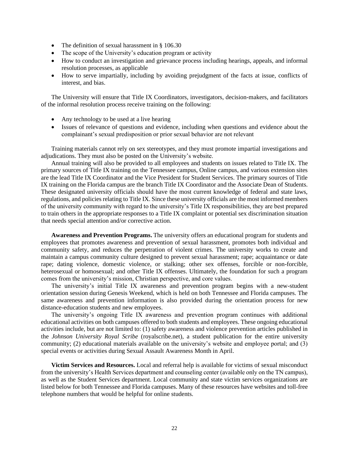- The definition of sexual harassment in § 106.30
- The scope of the University's education program or activity
- How to conduct an investigation and grievance process including hearings, appeals, and informal resolution processes, as applicable
- How to serve impartially, including by avoiding prejudgment of the facts at issue, conflicts of interest, and bias.

The University will ensure that Title IX Coordinators, investigators, decision-makers, and facilitators of the informal resolution process receive training on the following:

- Any technology to be used at a live hearing
- Issues of relevance of questions and evidence, including when questions and evidence about the complainant's sexual predisposition or prior sexual behavior are not relevant

Training materials cannot rely on sex stereotypes, and they must promote impartial investigations and adjudications. They must also be posted on the University's website.

Annual training will also be provided to all employees and students on issues related to Title IX. The primary sources of Title IX training on the Tennessee campus, Online campus, and various extension sites are the lead Title IX Coordinator and the Vice President for Student Services. The primary sources of Title IX training on the Florida campus are the branch Title IX Coordinator and the Associate Dean of Students. These designated university officials should have the most current knowledge of federal and state laws, regulations, and policies relating to Title IX. Since these university officials are the most informed members of the university community with regard to the university's Title IX responsibilities, they are best prepared to train others in the appropriate responses to a Title IX complaint or potential sex discrimination situation that needs special attention and/or corrective action.

**Awareness and Prevention Programs.** The university offers an educational program for students and employees that promotes awareness and prevention of sexual harassment, promotes both individual and community safety, and reduces the perpetration of violent crimes. The university works to create and maintain a campus community culture designed to prevent sexual harassment; rape; acquaintance or date rape; dating violence, domestic violence, or stalking; other sex offenses, forcible or non-forcible, heterosexual or homosexual; and other Title IX offenses. Ultimately, the foundation for such a program comes from the university's mission, Christian perspective, and core values.

The university's initial Title IX awareness and prevention program begins with a new-student orientation session during Genesis Weekend, which is held on both Tennessee and Florida campuses. The same awareness and prevention information is also provided during the orientation process for new distance-education students and new employees.

The university's ongoing Title IX awareness and prevention program continues with additional educational activities on both campuses offered to both students and employees. These ongoing educational activities include, but are not limited to: (1) safety awareness and violence prevention articles published in the *Johnson University Royal Scribe* (royalscribe.net), a student publication for the entire university community; (2) educational materials available on the university's website and employee portal; and (3) special events or activities during Sexual Assault Awareness Month in April.

**Victim Services and Resources.** Local and referral help is available for victims of sexual misconduct from the university's Health Services department and counseling center (available only on the TN campus), as well as the Student Services department. Local community and state victim services organizations are listed below for both Tennessee and Florida campuses. Many of these resources have websites and toll-free telephone numbers that would be helpful for online students.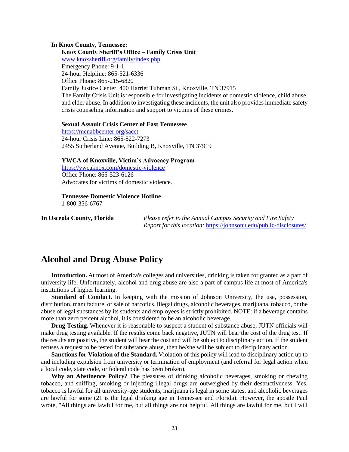#### **In Knox County, Tennessee: Knox County Sheriff's Office – Family Crisis Unit**  [www.knoxsheriff.org/family/index.php](http://www.knoxsheriff.org/family/index.php) Emergency Phone: 9-1-1 24-hour Helpline: 865-521-6336 Office Phone: 865-215-6820 Family Justice Center, 400 Harriet Tubman St., Knoxville, TN 37915 The Family Crisis Unit is responsible for investigating incidents of domestic violence, child abuse, and elder abuse. In addition to investigating these incidents, the unit also provides immediate safety crisis counseling information and support to victims of these crimes.

#### **Sexual Assault Crisis Center of East Tennessee**

<https://mcnabbcenter.org/sacet> 24-hour Crisis Line: 865-522-7273 2455 Sutherland Avenue, Building B, Knoxville, TN 37919

#### **YWCA of Knoxville, Victim's Advocacy Program**

<https://ywcaknox.com/domestic-violence> Office Phone: 865-523-6126 Advocates for victims of domestic violence.

#### **Tennessee Domestic Violence Hotline**

1-800-356-6767

**In Osceola County, Florida** *Please refer to the Annual Campus Security and Fire Safety Report for this location:* <https://johnsonu.edu/public-disclosures/>

## **Alcohol and Drug Abuse Policy**

**Introduction.** At most of America's colleges and universities, drinking is taken for granted as a part of university life. Unfortunately, alcohol and drug abuse are also a part of campus life at most of America's institutions of higher learning.

**Standard of Conduct.** In keeping with the mission of Johnson University, the use, possession, distribution, manufacture, or sale of narcotics, illegal drugs, alcoholic beverages, marijuana, tobacco, or the abuse of legal substances by its students and employees is strictly prohibited. NOTE: if a beverage contains more than zero percent alcohol, it is considered to be an alcoholic beverage.

**Drug Testing.** Whenever it is reasonable to suspect a student of substance abuse, JUTN officials will make drug testing available. If the results come back negative, JUTN will bear the cost of the drug test. If the results are positive, the student will bear the cost and will be subject to disciplinary action. If the student refuses a request to be tested for substance abuse, then he/she will be subject to disciplinary action.

**Sanctions for Violation of the Standard.** Violation of this policy will lead to disciplinary action up to and including expulsion from university or termination of employment (and referral for legal action when a local code, state code, or federal code has been broken).

**Why an Abstinence Policy?** The pleasures of drinking alcoholic beverages, smoking or chewing tobacco, and sniffing, smoking or injecting illegal drugs are outweighed by their destructiveness. Yes, tobacco is lawful for all university-age students, marijuana is legal in some states, and alcoholic beverages are lawful for some (21 is the legal drinking age in Tennessee and Florida). However, the apostle Paul wrote, "All things are lawful for me, but all things are not helpful. All things are lawful for me, but I will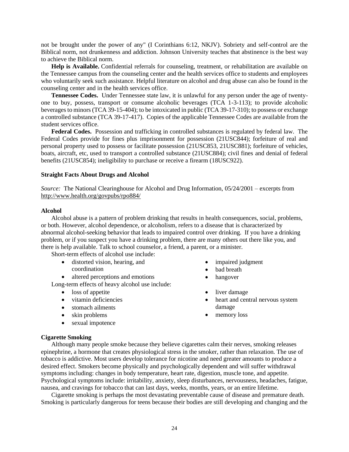not be brought under the power of any" (I Corinthians 6:12, NKJV). Sobriety and self-control are the Biblical norm, not drunkenness and addiction. Johnson University teaches that abstinence is the best way to achieve the Biblical norm.

**Help is Available.** Confidential referrals for counseling, treatment, or rehabilitation are available on the Tennessee campus from the counseling center and the health services office to students and employees who voluntarily seek such assistance. Helpful literature on alcohol and drug abuse can also be found in the counseling center and in the health services office.

**Tennessee Codes.** Under Tennessee state law, it is unlawful for any person under the age of twentyone to buy, possess, transport or consume alcoholic beverages (TCA 1-3-113); to provide alcoholic beverages to minors (TCA 39-15-404); to be intoxicated in public (TCA 39-17-310); to possess or exchange a controlled substance (TCA 39-17-417). Copies of the applicable Tennessee Codes are available from the student services office.

**Federal Codes.** Possession and trafficking in controlled substances is regulated by federal law. The Federal Codes provide for fines plus imprisonment for possession (21USC844); forfeiture of real and personal property used to possess or facilitate possession (21USC853, 21USC881); forfeiture of vehicles, boats, aircraft, etc, used to transport a controlled substance (21USC884); civil fines and denial of federal benefits (21USC854); ineligibility to purchase or receive a firearm (18USC922).

#### **Straight Facts About Drugs and Alcohol**

*Source:* The National Clearinghouse for Alcohol and Drug Information, 05/24/2001 – excerpts from <http://www.health.org/govpubs/rpo884/>

#### **Alcohol**

Alcohol abuse is a pattern of problem drinking that results in health consequences, social, problems, or both. However, alcohol dependence, or alcoholism, refers to a disease that is characterized by abnormal alcohol-seeking behavior that leads to impaired control over drinking. If you have a drinking problem, or if you suspect you have a drinking problem, there are many others out there like you, and there is help available. Talk to school counselor, a friend, a parent, or a minister.

Short-term effects of alcohol use include:

- distorted vision, hearing, and coordination
- altered perceptions and emotions

Long-term effects of heavy alcohol use include:

- loss of appetite
- vitamin deficiencies
- stomach ailments
- skin problems
- sexual impotence

# **Cigarette Smoking**

- impaired judgment
- bad breath
- hangover
- liver damage
- heart and central nervous system damage
- memory loss

Although many people smoke because they believe cigarettes calm their nerves, smoking releases epinephrine, a hormone that creates physiological stress in the smoker, rather than relaxation. The use of tobacco is addictive. Most users develop tolerance for nicotine and need greater amounts to produce a desired effect. Smokers become physically and psychologically dependent and will suffer withdrawal symptoms including: changes in body temperature, heart rate, digestion, muscle tone, and appetite. Psychological symptoms include: irritability, anxiety, sleep disturbances, nervousness, headaches, fatigue, nausea, and cravings for tobacco that can last days, weeks, months, years, or an entire lifetime.

Cigarette smoking is perhaps the most devastating preventable cause of disease and premature death. Smoking is particularly dangerous for teens because their bodies are still developing and changing and the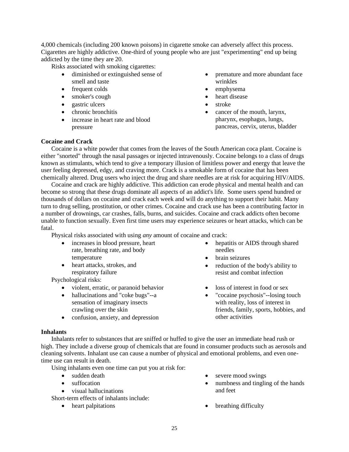4,000 chemicals (including 200 known poisons) in cigarette smoke can adversely affect this process. Cigarettes are highly addictive. One-third of young people who are just "experimenting" end up being addicted by the time they are 20.

Risks associated with smoking cigarettes:

- diminished or extinguished sense of smell and taste
- frequent colds
- smoker's cough
- gastric ulcers
- chronic bronchitis
- increase in heart rate and blood pressure
- premature and more abundant face wrinkles
- emphysema
- heart disease
- stroke
- cancer of the mouth, larynx, pharynx, esophagus, lungs, pancreas, cervix, uterus, bladder

#### **Cocaine and Crack**

Cocaine is a white powder that comes from the leaves of the South American coca plant. Cocaine is either "snorted" through the nasal passages or injected intravenously. Cocaine belongs to a class of drugs known as stimulants, which tend to give a temporary illusion of limitless power and energy that leave the user feeling depressed, edgy, and craving more. Crack is a smokable form of cocaine that has been chemically altered. Drug users who inject the drug and share needles are at risk for acquiring HIV/AIDS.

Cocaine and crack are highly addictive. This addiction can erode physical and mental health and can become so strong that these drugs dominate all aspects of an addict's life. Some users spend hundred or thousands of dollars on cocaine and crack each week and will do anything to support their habit. Many turn to drug selling, prostitution, or other crimes. Cocaine and crack use has been a contributing factor in a number of drownings, car crashes, falls, burns, and suicides. Cocaine and crack addicts often become unable to function sexually. Even first time users may experience seizures or heart attacks, which can be fatal.

Physical risks associated with using *any* amount of cocaine and crack:

- increases in blood pressure, heart rate, breathing rate, and body temperature
- heart attacks, strokes, and respiratory failure

Psychological risks:

- violent, erratic, or paranoid behavior
- hallucinations and "coke bugs"--a sensation of imaginary insects crawling over the skin
- confusion, anxiety, and depression
- hepatitis or AIDS through shared needles
- brain seizures
- reduction of the body's ability to resist and combat infection
- loss of interest in food or sex
- "cocaine psychosis"--losing touch with reality, loss of interest in friends, family, sports, hobbies, and other activities

#### **Inhalants**

Inhalants refer to substances that are sniffed or huffed to give the user an immediate head rush or high. They include a diverse group of chemicals that are found in consumer products such as aerosols and cleaning solvents. Inhalant use can cause a number of physical and emotional problems, and even onetime use can result in death.

Using inhalants even one time can put you at risk for:

- sudden death
- suffocation
- visual hallucinations

Short-term effects of inhalants include:

- severe mood swings
- numbness and tingling of the hands and feet
- heart palpitations breathing difficulty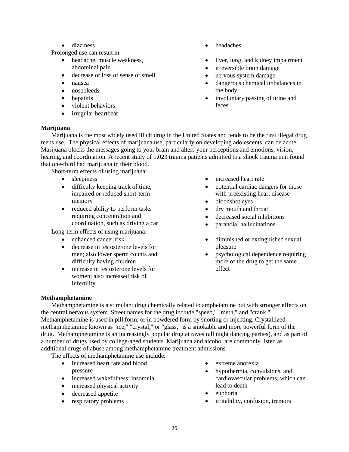Prolonged use can result in:

- headache, muscle weakness, abdominal pain
- decrease or loss of sense of smell
- nausea
- nosebleeds
- hepatitis
- violent behaviors
- irregular heartbeat

#### **Marijuana**

- dizziness headaches
	- liver, lung, and kidney impairment
	- irreversible brain damage
	- nervous system damage
	- dangerous chemical imbalances in the body
	- involuntary passing of urine and feces

Marijuana is the most widely used illicit drug in the United States and tends to be the first illegal drug teens use. The physical effects of marijuana use, particularly on developing adolescents, can be acute. Marijuana blocks the messages going to your brain and alters your perceptions and emotions, vision, hearing, and coordination. A recent study of 1,023 trauma patients admitted to a shock trauma unit found that one-third had marijuana in their blood.

Short-term effects of using marijuana:

- sleepiness
- difficulty keeping track of time, impaired or reduced short-term memory
- reduced ability to perform tasks requiring concentration and coordination, such as driving a car

Long-term effects of using marijuana:

- enhanced cancer risk
- decrease in testosterone levels for men; also lower sperm counts and difficulty having children
- increase in testosterone levels for women; also increased risk of infertility
- increased heart rate
- potential cardiac dangers for those with preexisting heart disease
- bloodshot eyes
- dry mouth and throat
- decreased social inhibitions
- paranoia, hallucinations
- diminished or extinguished sexual pleasure
- psychological dependence requiring more of the drug to get the same effect

#### **Methamphetamine**

Methamphetamine is a stimulant drug chemically related to amphetamine but with stronger effects on the central nervous system. Street names for the drug include "speed," "meth," and "crank." Methamphetamine is used in pill form, or in powdered form by snorting or injecting. Crystallized methamphetamine known as "ice," "crystal," or "glass," is a smokable and more powerful form of the drug. Methamphetamine is an increasingly popular drug at raves (all night dancing parties), and as part of a number of drugs used by college-aged students. Marijuana and alcohol are commonly listed as additional drugs of abuse among methamphetamine treatment admissions.

The effects of methamphetamine use include:

- increased heart rate and blood pressure
- increased wakefulness: insomnia
- increased physical activity
- decreased appetite
- respiratory problems
- extreme anorexia
- hypothermia, convulsions, and cardiovascular problems, which can lead to death
- euphoria
- irritability, confusion, tremors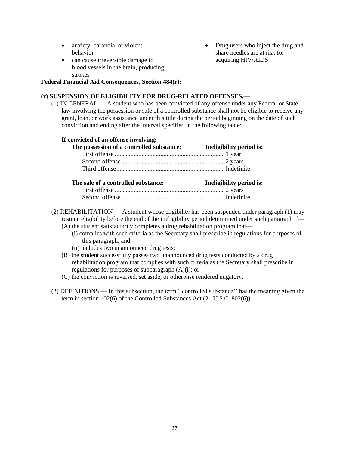- anxiety, paranoia, or violent behavior
- can cause irreversible damage to blood vessels in the brain, producing strokes

#### **Federal Financial Aid Consequences, Section 484(r):**

#### • Drug users who inject the drug and share needles are at risk for acquiring HIV/AIDS

#### **(r) SUSPENSION OF ELIGIBILITY FOR DRUG-RELATED OFFENSES.—**

(1) IN GENERAL — A student who has been convicted of any offense under any Federal or State law involving the possession or sale of a controlled substance shall not be eligible to receive any grant, loan, or work assistance under this title during the period beginning on the date of such conviction and ending after the interval specified in the following table:

#### **If convicted of an offense involving:**

| The possession of a controlled substance: | Ineligibility period is: |
|-------------------------------------------|--------------------------|
|                                           |                          |
|                                           |                          |
|                                           |                          |
| The sale of a controlled substance:       | Ineligibility period is: |
|                                           |                          |
|                                           |                          |
|                                           |                          |

#### (2) REHABILITATION — A student whose eligibility has been suspended under paragraph (1) may resume eligibility before the end of the ineligibility period determined under such paragraph if— (A) the student satisfactorily completes a drug rehabilitation program that—

- (i) complies with such criteria as the Secretary shall prescribe in regulations for purposes of this paragraph; and
- (ii) includes two unannounced drug tests;
- (B) the student successfully passes two unannounced drug tests conducted by a drug rehabilitation program that complies with such criteria as the Secretary shall prescribe in regulations for purposes of subparagraph (A)(i); or
- (C) the conviction is reversed, set aside, or otherwise rendered nugatory.
- (3) DEFINITIONS In this subsection, the term ''controlled substance'' has the meaning given the term in section 102(6) of the Controlled Substances Act (21 U.S.C. 802(6)).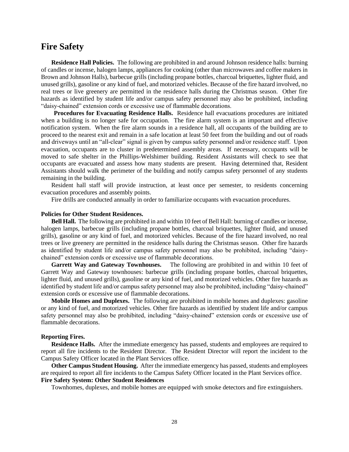### **Fire Safety**

**Residence Hall Policies.** The following are prohibited in and around Johnson residence halls: burning of candles or incense, halogen lamps, appliances for cooking (other than microwaves and coffee makers in Brown and Johnson Halls), barbecue grills (including propane bottles, charcoal briquettes, lighter fluid, and unused grills), gasoline or any kind of fuel, and motorized vehicles. Because of the fire hazard involved, no real trees or live greenery are permitted in the residence halls during the Christmas season. Other fire hazards as identified by student life and/or campus safety personnel may also be prohibited, including "daisy-chained" extension cords or excessive use of flammable decorations.

**Procedures for Evacuating Residence Halls.** Residence hall evacuations procedures are initiated when a building is no longer safe for occupation. The fire alarm system is an important and effective notification system. When the fire alarm sounds in a residence hall, all occupants of the building are to proceed to the nearest exit and remain in a safe location at least 50 feet from the building and out of roads and driveways until an "all-clear" signal is given by campus safety personnel and/or residence staff. Upon evacuation, occupants are to cluster in predetermined assembly areas. If necessary, occupants will be moved to safe shelter in the Phillips-Welshimer building. Resident Assistants will check to see that occupants are evacuated and assess how many students are present. Having determined that, Resident Assistants should walk the perimeter of the building and notify campus safety personnel of any students remaining in the building.

Resident hall staff will provide instruction, at least once per semester, to residents concerning evacuation procedures and assembly points.

Fire drills are conducted annually in order to familiarize occupants with evacuation procedures.

#### **Policies for Other Student Residences.**

**Bell Hall.** The following are prohibited in and within 10 feet of Bell Hall: burning of candles or incense, halogen lamps, barbecue grills (including propane bottles, charcoal briquettes, lighter fluid, and unused grills), gasoline or any kind of fuel, and motorized vehicles. Because of the fire hazard involved, no real trees or live greenery are permitted in the residence halls during the Christmas season. Other fire hazards as identified by student life and/or campus safety personnel may also be prohibited, including "daisychained" extension cords or excessive use of flammable decorations.

**Garrett Way and Gateway Townhouses.** The following are prohibited in and within 10 feet of Garrett Way and Gateway townhouses: barbecue grills (including propane bottles, charcoal briquettes, lighter fluid, and unused grills), gasoline or any kind of fuel, and motorized vehicles. Other fire hazards as identified by student life and/or campus safety personnel may also be prohibited, including "daisy-chained" extension cords or excessive use of flammable decorations.

**Mobile Homes and Duplexes.** The following are prohibited in mobile homes and duplexes: gasoline or any kind of fuel, and motorized vehicles. Other fire hazards as identified by student life and/or campus safety personnel may also be prohibited, including "daisy-chained" extension cords or excessive use of flammable decorations.

#### **Reporting Fires.**

**Residence Halls.** After the immediate emergency has passed, students and employees are required to report all fire incidents to the Resident Director. The Resident Director will report the incident to the Campus Safety Officer located in the Plant Services office.

**Other Campus Student Housing.** After the immediate emergency has passed, students and employees are required to report all fire incidents to the Campus Safety Officer located in the Plant Services office. **Fire Safety System: Other Student Residences**

Townhomes, duplexes, and mobile homes are equipped with smoke detectors and fire extinguishers.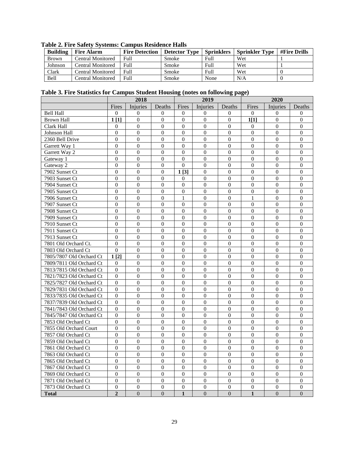| <b>Building</b> | <b>Fire Alarm</b>        | <b>Fire Detection</b> | <b>Detector Type</b> | <b>Sprinklers</b> | <b>Sprinkler Type</b> | <b>#Fire Drills</b> |
|-----------------|--------------------------|-----------------------|----------------------|-------------------|-----------------------|---------------------|
| <b>Brown</b>    | <b>Central Monitored</b> | Full                  | <b>Smoke</b>         | Full              | Wet                   |                     |
| Johnson         | <b>Central Monitored</b> | Full                  | Smoke                | Full              | Wet                   |                     |
| Clark           | <b>Central Monitored</b> | Full                  | Smoke                | Full              | Wet                   |                     |
| Bell            | <b>Central Monitored</b> | Full                  | Smoke                | None              | N/A                   |                     |

**Table 2. Fire Safety Systems: Campus Residence Halls** 

### **Table 3. Fire Statistics for Campus Student Housing (notes on following page)**

|                          | 2018             |                  |                  |                  | 2019             |                  | 2020             |                  |                  |
|--------------------------|------------------|------------------|------------------|------------------|------------------|------------------|------------------|------------------|------------------|
|                          | Fires            | Injuries         | Deaths           | Fires            | Injuries         | Deaths           | Fires            | Injuries         | Deaths           |
| <b>Bell Hall</b>         | $\Omega$         | $\mathbf{0}$     | $\theta$         | $\overline{0}$   | $\overline{0}$   | $\mathbf{0}$     | $\mathbf{0}$     | $\overline{0}$   | $\theta$         |
| <b>Brown Hall</b>        | $\overline{111}$ | $\boldsymbol{0}$ | $\boldsymbol{0}$ | $\boldsymbol{0}$ | $\overline{0}$   | $\boldsymbol{0}$ | 1[1]             | $\boldsymbol{0}$ | $\boldsymbol{0}$ |
| Clark Hall               | $\theta$         | $\boldsymbol{0}$ | $\boldsymbol{0}$ | $\boldsymbol{0}$ | $\boldsymbol{0}$ | $\boldsymbol{0}$ | $\boldsymbol{0}$ | $\boldsymbol{0}$ | $\boldsymbol{0}$ |
| Johnson Hall             | $\boldsymbol{0}$ | $\overline{0}$   | $\boldsymbol{0}$ | $\boldsymbol{0}$ | $\overline{0}$   | $\boldsymbol{0}$ | $\boldsymbol{0}$ | $\boldsymbol{0}$ | $\boldsymbol{0}$ |
| 2360 Bell Drive          | $\boldsymbol{0}$ | $\boldsymbol{0}$ | $\boldsymbol{0}$ | $\boldsymbol{0}$ | $\boldsymbol{0}$ | $\boldsymbol{0}$ | $\boldsymbol{0}$ | $\boldsymbol{0}$ | $\boldsymbol{0}$ |
| Garrett Way 1            | $\overline{0}$   | $\mathbf{0}$     | $\theta$         | $\Omega$         | $\theta$         | $\overline{0}$   | $\overline{0}$   | $\mathbf{0}$     | $\Omega$         |
| Garrett Way 2            | $\boldsymbol{0}$ | $\boldsymbol{0}$ | $\boldsymbol{0}$ | $\boldsymbol{0}$ | $\boldsymbol{0}$ | $\boldsymbol{0}$ | $\boldsymbol{0}$ | $\boldsymbol{0}$ | $\boldsymbol{0}$ |
| Gateway 1                | $\boldsymbol{0}$ | $\mathbf{0}$     | $\overline{0}$   | $\boldsymbol{0}$ | $\theta$         | $\mathbf{0}$     | $\boldsymbol{0}$ | $\overline{0}$   | $\boldsymbol{0}$ |
| Gateway 2                | $\overline{0}$   | $\overline{0}$   | $\overline{0}$   | $\overline{0}$   | $\overline{0}$   | $\mathbf{0}$     | $\overline{0}$   | $\mathbf{0}$     | $\overline{0}$   |
| 7902 Sunset Ct           | $\boldsymbol{0}$ | $\boldsymbol{0}$ | $\boldsymbol{0}$ | 1[3]             | $\overline{0}$   | $\boldsymbol{0}$ | $\boldsymbol{0}$ | $\boldsymbol{0}$ | $\boldsymbol{0}$ |
| 7903 Sunset Ct           | $\overline{0}$   | $\mathbf{0}$     | $\overline{0}$   | $\overline{0}$   | $\mathbf{0}$     | $\mathbf{0}$     | $\boldsymbol{0}$ | $\mathbf{0}$     | $\overline{0}$   |
| 7904 Sunset Ct           | $\boldsymbol{0}$ | $\theta$         | $\theta$         | $\theta$         | $\theta$         | $\theta$         | $\theta$         | $\theta$         | $\theta$         |
| 7905 Sunset Ct           | $\boldsymbol{0}$ | $\boldsymbol{0}$ | $\overline{0}$   | $\boldsymbol{0}$ | $\boldsymbol{0}$ | $\boldsymbol{0}$ | $\boldsymbol{0}$ | $\boldsymbol{0}$ | $\mathbf{0}$     |
| 7906 Sunset Ct           | $\boldsymbol{0}$ | $\boldsymbol{0}$ | $\theta$         | 1                | $\theta$         | $\boldsymbol{0}$ | 1                | $\boldsymbol{0}$ | $\boldsymbol{0}$ |
| 7907 Sunset Ct           | $\theta$         | $\theta$         | $\theta$         | $\Omega$         | $\theta$         | $\theta$         | $\theta$         | $\theta$         | $\theta$         |
| 7908 Sunset Ct           | $\boldsymbol{0}$ | $\boldsymbol{0}$ | $\overline{0}$   | $\overline{0}$   | $\mathbf{0}$     | $\overline{0}$   | $\boldsymbol{0}$ | $\overline{0}$   | $\overline{0}$   |
| 7909 Sunset Ct           | $\overline{0}$   | $\overline{0}$   | $\theta$         | $\overline{0}$   | $\overline{0}$   | $\boldsymbol{0}$ | $\overline{0}$   | $\boldsymbol{0}$ | $\boldsymbol{0}$ |
| 7910 Sunset Ct           | $\theta$         | $\Omega$         | $\theta$         | $\Omega$         | $\theta$         | $\theta$         | $\theta$         | $\theta$         | $\Omega$         |
| 7911 Sunset Ct           | $\overline{0}$   | $\mathbf{0}$     | $\overline{0}$   | $\overline{0}$   | $\mathbf{0}$     | $\mathbf{0}$     | $\overline{0}$   | $\mathbf{0}$     | $\overline{0}$   |
| 7913 Sunset Ct           | $\overline{0}$   | $\overline{0}$   | $\overline{0}$   | $\overline{0}$   | $\overline{0}$   | $\overline{0}$   | $\overline{0}$   | $\overline{0}$   | $\overline{0}$   |
| 7801 Old Orchard Ct.     | $\overline{0}$   | $\boldsymbol{0}$ | $\boldsymbol{0}$ | $\boldsymbol{0}$ | $\boldsymbol{0}$ | $\boldsymbol{0}$ | $\overline{0}$   | $\boldsymbol{0}$ | $\mathbf{0}$     |
| 7803 Old Orchard Ct      | $\boldsymbol{0}$ | $\boldsymbol{0}$ | $\overline{0}$   | $\mathbf{0}$     | $\boldsymbol{0}$ | $\boldsymbol{0}$ | $\boldsymbol{0}$ | $\boldsymbol{0}$ | $\boldsymbol{0}$ |
| 7805/7807 Old Orchard Ct | 1 <sub>[2]</sub> | $\theta$         | $\theta$         | $\theta$         | $\overline{0}$   | $\theta$         | $\theta$         | $\theta$         | $\theta$         |
| 7809/7811 Old Orchard Ct | $\overline{0}$   | $\boldsymbol{0}$ | $\boldsymbol{0}$ | $\boldsymbol{0}$ | $\boldsymbol{0}$ | $\boldsymbol{0}$ | $\boldsymbol{0}$ | $\boldsymbol{0}$ | $\boldsymbol{0}$ |
| 7813/7815 Old Orchard Ct | $\boldsymbol{0}$ | $\boldsymbol{0}$ | $\theta$         | $\overline{0}$   | $\theta$         | $\boldsymbol{0}$ | $\overline{0}$   | $\boldsymbol{0}$ | $\Omega$         |
| 7821/7823 Old Orchard Ct | $\theta$         | $\overline{0}$   | $\overline{0}$   | $\overline{0}$   | $\theta$         | $\theta$         | $\mathbf{0}$     | $\overline{0}$   | $\overline{0}$   |
| 7825/7827 Old Orchard Ct | $\boldsymbol{0}$ | $\boldsymbol{0}$ | $\mathbf{0}$     | $\boldsymbol{0}$ | $\boldsymbol{0}$ | $\boldsymbol{0}$ | $\boldsymbol{0}$ | $\mathbf{0}$     | $\boldsymbol{0}$ |
| 7829/7831 Old Orchard Ct | $\boldsymbol{0}$ | $\boldsymbol{0}$ | $\overline{0}$   | $\overline{0}$   | $\boldsymbol{0}$ | $\boldsymbol{0}$ | $\overline{0}$   | $\boldsymbol{0}$ | $\overline{0}$   |
| 7833/7835 Old Orchard Ct | $\theta$         | $\Omega$         | $\theta$         | $\Omega$         | $\theta$         | $\theta$         | $\boldsymbol{0}$ | $\theta$         | $\boldsymbol{0}$ |
| 7837/7839 Old Orchard Ct | $\boldsymbol{0}$ | $\boldsymbol{0}$ | $\overline{0}$   | $\overline{0}$   | $\boldsymbol{0}$ | $\mathbf{0}$     | $\boldsymbol{0}$ | $\boldsymbol{0}$ | $\overline{0}$   |
| 7841/7843 Old Orchard Ct | $\boldsymbol{0}$ | $\overline{0}$   | $\boldsymbol{0}$ | $\theta$         | $\overline{0}$   | $\boldsymbol{0}$ | $\boldsymbol{0}$ | $\boldsymbol{0}$ | $\mathbf{0}$     |
| 7845/7847 Old Orchard Ct | $\overline{0}$   | $\boldsymbol{0}$ | $\theta$         | $\overline{0}$   | $\theta$         | $\boldsymbol{0}$ | $\overline{0}$   | $\boldsymbol{0}$ | $\theta$         |
| 7853 Old Orchard Ct      | $\overline{0}$   | $\boldsymbol{0}$ | $\boldsymbol{0}$ | $\boldsymbol{0}$ | $\boldsymbol{0}$ | $\mathbf{0}$     | $\boldsymbol{0}$ | $\boldsymbol{0}$ | $\boldsymbol{0}$ |
| 7855 Old Orchard Court   | $\overline{0}$   | $\overline{0}$   | $\overline{0}$   | $\overline{0}$   | $\overline{0}$   | $\theta$         | $\overline{0}$   | $\boldsymbol{0}$ | $\overline{0}$   |
| 7857 Old Orchard Ct      | $\boldsymbol{0}$ | $\boldsymbol{0}$ | $\boldsymbol{0}$ | $\boldsymbol{0}$ | $\mathbf{0}$     | $\boldsymbol{0}$ | $\boldsymbol{0}$ | $\boldsymbol{0}$ | $\boldsymbol{0}$ |
| 7859 Old Orchard Ct      | $\overline{0}$   | $\boldsymbol{0}$ | $\overline{0}$   | $\boldsymbol{0}$ | $\boldsymbol{0}$ | $\boldsymbol{0}$ | $\boldsymbol{0}$ | $\mathbf{0}$     | $\overline{0}$   |
| 7861 Old Orchard Ct      | $\overline{0}$   | $\overline{0}$   | $\overline{0}$   | $\overline{0}$   | $\overline{0}$   | $\overline{0}$   | $\overline{0}$   | $\overline{0}$   | $\overline{0}$   |
| 7863 Old Orchard Ct      | $\overline{0}$   | $\mathbf{0}$     | $\overline{0}$   | $\overline{0}$   | $\mathbf{0}$     | $\overline{0}$   | $\overline{0}$   | $\mathbf{0}$     | $\overline{0}$   |
| 7865 Old Orchard Ct      | $\boldsymbol{0}$ | $\boldsymbol{0}$ | $\boldsymbol{0}$ | $\boldsymbol{0}$ | $\boldsymbol{0}$ | $\boldsymbol{0}$ | $\boldsymbol{0}$ | $\boldsymbol{0}$ | $\boldsymbol{0}$ |
| 7867 Old Orchard Ct      | $\overline{0}$   | $\overline{0}$   | $\theta$         | $\overline{0}$   | $\overline{0}$   | $\overline{0}$   | $\overline{0}$   | $\overline{0}$   | $\overline{0}$   |
| 7869 Old Orchard Ct      | $\boldsymbol{0}$ | $\boldsymbol{0}$ | $\boldsymbol{0}$ | $\boldsymbol{0}$ | $\boldsymbol{0}$ | $\boldsymbol{0}$ | $\boldsymbol{0}$ | $\boldsymbol{0}$ | $\boldsymbol{0}$ |
| 7871 Old Orchard Ct      | $\boldsymbol{0}$ | $\mathbf{0}$     | $\theta$         | $\theta$         | $\theta$         | $\theta$         | $\boldsymbol{0}$ | $\boldsymbol{0}$ | $\theta$         |
| 7873 Old Orchard Ct      | $\overline{0}$   | $\mathbf{0}$     | $\overline{0}$   | $\overline{0}$   | $\overline{0}$   | $\overline{0}$   | $\overline{0}$   | $\mathbf{0}$     | $\overline{0}$   |
| <b>Total</b>             | $\overline{2}$   | $\overline{0}$   | $\overline{0}$   | $\mathbf{1}$     | $\overline{0}$   | $\boldsymbol{0}$ | $\mathbf{1}$     | $\boldsymbol{0}$ | $\overline{0}$   |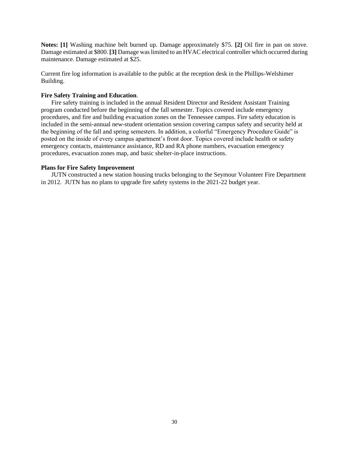**Notes: [1]** Washing machine belt burned up. Damage approximately \$75. **[2]** Oil fire in pan on stove. Damage estimated at \$800. **[3]** Damage was limited to an HVAC electrical controller which occurred during maintenance. Damage estimated at \$25.

Current fire log information is available to the public at the reception desk in the Phillips-Welshimer Building.

#### **Fire Safety Training and Education**.

Fire safety training is included in the annual Resident Director and Resident Assistant Training program conducted before the beginning of the fall semester. Topics covered include emergency procedures, and fire and building evacuation zones on the Tennessee campus. Fire safety education is included in the semi-annual new-student orientation session covering campus safety and security held at the beginning of the fall and spring semesters. In addition, a colorful "Emergency Procedure Guide" is posted on the inside of every campus apartment's front door. Topics covered include health or safety emergency contacts, maintenance assistance, RD and RA phone numbers, evacuation emergency procedures, evacuation zones map, and basic shelter-in-place instructions.

#### **Plans for Fire Safety Improvement**

JUTN constructed a new station housing trucks belonging to the Seymour Volunteer Fire Department in 2012. JUTN has no plans to upgrade fire safety systems in the 2021-22 budget year.